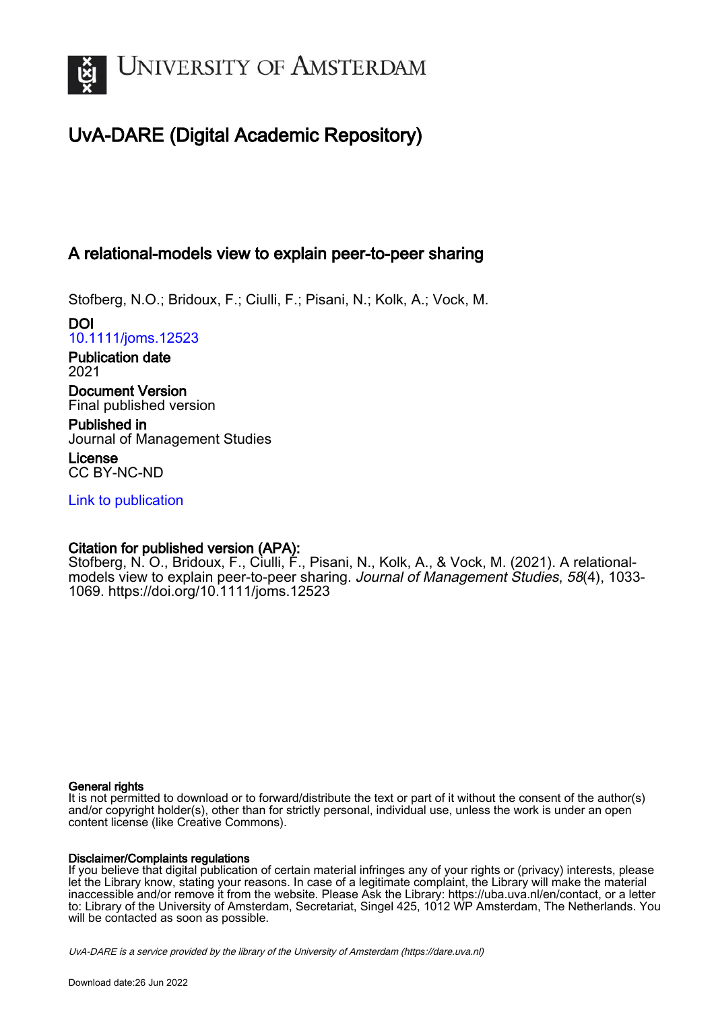

# UvA-DARE (Digital Academic Repository)

# A relational-models view to explain peer-to-peer sharing

Stofberg, N.O.; Bridoux, F.; Ciulli, F.; Pisani, N.; Kolk, A.; Vock, M.

DOI [10.1111/joms.12523](https://doi.org/10.1111/joms.12523)

Publication date 2021

Document Version Final published version

Published in Journal of Management Studies

License CC BY-NC-ND

[Link to publication](https://dare.uva.nl/personal/pure/en/publications/a-relationalmodels-view-to-explain-peertopeer-sharing(7c45462d-4f3f-4bcf-ac29-905b911ecb1a).html)

# Citation for published version (APA):

Stofberg, N. O., Bridoux, F., Ciulli, F., Pisani, N., Kolk, A., & Vock, M. (2021). A relationalmodels view to explain peer-to-peer sharing. Journal of Management Studies, 58(4), 1033- 1069.<https://doi.org/10.1111/joms.12523>

## General rights

It is not permitted to download or to forward/distribute the text or part of it without the consent of the author(s) and/or copyright holder(s), other than for strictly personal, individual use, unless the work is under an open content license (like Creative Commons).

## Disclaimer/Complaints regulations

If you believe that digital publication of certain material infringes any of your rights or (privacy) interests, please let the Library know, stating your reasons. In case of a legitimate complaint, the Library will make the material inaccessible and/or remove it from the website. Please Ask the Library: https://uba.uva.nl/en/contact, or a letter to: Library of the University of Amsterdam, Secretariat, Singel 425, 1012 WP Amsterdam, The Netherlands. You will be contacted as soon as possible.

UvA-DARE is a service provided by the library of the University of Amsterdam (http*s*://dare.uva.nl)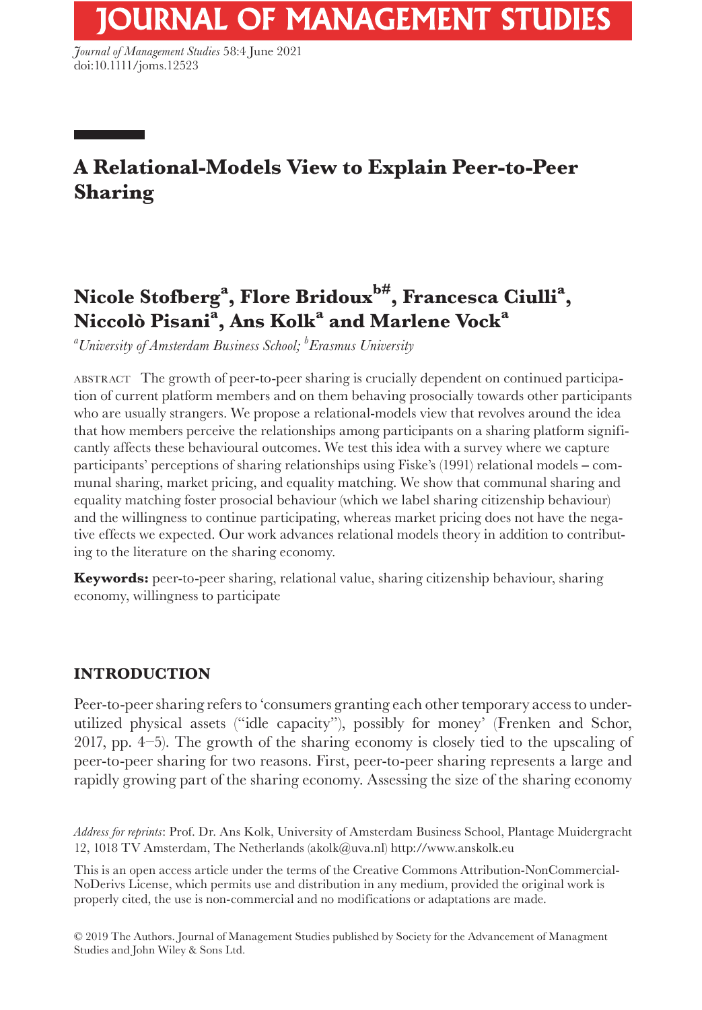*Journal of Management Studies* 58:4 June 2021 doi:10.1111/joms.12523

# **A Relational-Models View to Explain Peer-to-Peer Sharing**

# $\mathbf{Nicole\ Stofberg}^{\mathbf{a}}, \mathbf{Flore\ Bridoux}^{\mathbf{b}\#}, \mathbf{Francesca\ Ciulli}^{\mathbf{a}},$  $\rm{Niccol\^{o} Pisani}^{\rm a}, \rm{Ans\,~Kolk}^{\rm a}$  and  $\rm{Marlene\,~Vock}^{\rm a}$

*a University of Amsterdam Business School; b Erasmus University*

ABSTRACT The growth of peer-to-peer sharing is crucially dependent on continued participation of current platform members and on them behaving prosocially towards other participants who are usually strangers. We propose a relational-models view that revolves around the idea that how members perceive the relationships among participants on a sharing platform significantly affects these behavioural outcomes. We test this idea with a survey where we capture participants' perceptions of sharing relationships using Fiske's (1991) relational models – communal sharing, market pricing, and equality matching. We show that communal sharing and equality matching foster prosocial behaviour (which we label sharing citizenship behaviour) and the willingness to continue participating, whereas market pricing does not have the negative effects we expected. Our work advances relational models theory in addition to contributing to the literature on the sharing economy.

**Keywords:** peer-to-peer sharing, relational value, sharing citizenship behaviour, sharing economy, willingness to participate

# **INTRODUCTION**

Peer-to-peer sharing refers to 'consumers granting each other temporary access to underutilized physical assets ("idle capacity"), possibly for money' (Frenken and Schor, 2017, pp. 4–5). The growth of the sharing economy is closely tied to the upscaling of peer-to-peer sharing for two reasons. First, peer-to-peer sharing represents a large and rapidly growing part of the sharing economy. Assessing the size of the sharing economy

*Address for reprints*: Prof. Dr. Ans Kolk, University of Amsterdam Business School, Plantage Muidergracht 12, 1018 TV Amsterdam, The Netherlands [\(akolk@uva.nl\)](mailto:akolk@uva.nl) http://www.anskolk.eu

This is an open access article under the terms of the [Creative Commons Attribution-NonCommercial-](http://creativecommons.org/licenses/by-nc-nd/4.0/)[NoDerivs](http://creativecommons.org/licenses/by-nc-nd/4.0/) License, which permits use and distribution in any medium, provided the original work is properly cited, the use is non-commercial and no modifications or adaptations are made.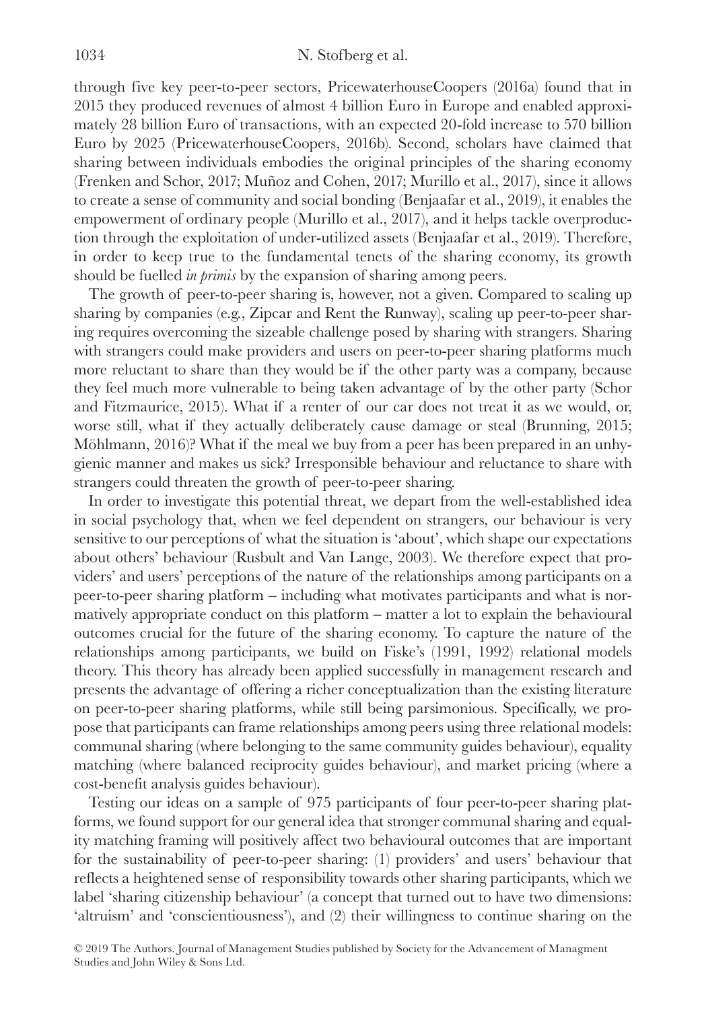through five key peer-to-peer sectors, PricewaterhouseCoopers (2016a) found that in 2015 they produced revenues of almost 4 billion Euro in Europe and enabled approximately 28 billion Euro of transactions, with an expected 20-fold increase to 570 billion Euro by 2025 (PricewaterhouseCoopers, 2016b). Second, scholars have claimed that sharing between individuals embodies the original principles of the sharing economy (Frenken and Schor, 2017; Muñoz and Cohen, 2017; Murillo et al., 2017), since it allows to create a sense of community and social bonding (Benjaafar et al., 2019), it enables the empowerment of ordinary people (Murillo et al., 2017), and it helps tackle overproduction through the exploitation of under-utilized assets (Benjaafar et al., 2019). Therefore, in order to keep true to the fundamental tenets of the sharing economy, its growth should be fuelled *in primis* by the expansion of sharing among peers.

The growth of peer-to-peer sharing is, however, not a given. Compared to scaling up sharing by companies (e.g., Zipcar and Rent the Runway), scaling up peer-to-peer sharing requires overcoming the sizeable challenge posed by sharing with strangers. Sharing with strangers could make providers and users on peer-to-peer sharing platforms much more reluctant to share than they would be if the other party was a company, because they feel much more vulnerable to being taken advantage of by the other party (Schor and Fitzmaurice, 2015). What if a renter of our car does not treat it as we would, or, worse still, what if they actually deliberately cause damage or steal (Brunning, 2015; Möhlmann, 2016)? What if the meal we buy from a peer has been prepared in an unhygienic manner and makes us sick? Irresponsible behaviour and reluctance to share with strangers could threaten the growth of peer-to-peer sharing.

In order to investigate this potential threat, we depart from the well-established idea in social psychology that, when we feel dependent on strangers, our behaviour is very sensitive to our perceptions of what the situation is 'about', which shape our expectations about others' behaviour (Rusbult and Van Lange, 2003). We therefore expect that providers' and users' perceptions of the nature of the relationships among participants on a peer-to-peer sharing platform ‒ including what motivates participants and what is normatively appropriate conduct on this platform – matter a lot to explain the behavioural outcomes crucial for the future of the sharing economy. To capture the nature of the relationships among participants, we build on Fiske's (1991, 1992) relational models theory. This theory has already been applied successfully in management research and presents the advantage of offering a richer conceptualization than the existing literature on peer-to-peer sharing platforms, while still being parsimonious. Specifically, we propose that participants can frame relationships among peers using three relational models: communal sharing (where belonging to the same community guides behaviour), equality matching (where balanced reciprocity guides behaviour), and market pricing (where a cost-benefit analysis guides behaviour).

Testing our ideas on a sample of 975 participants of four peer-to-peer sharing platforms, we found support for our general idea that stronger communal sharing and equality matching framing will positively affect two behavioural outcomes that are important for the sustainability of peer-to-peer sharing: (1) providers' and users' behaviour that reflects a heightened sense of responsibility towards other sharing participants, which we label 'sharing citizenship behaviour' (a concept that turned out to have two dimensions: 'altruism' and 'conscientiousness'), and (2) their willingness to continue sharing on the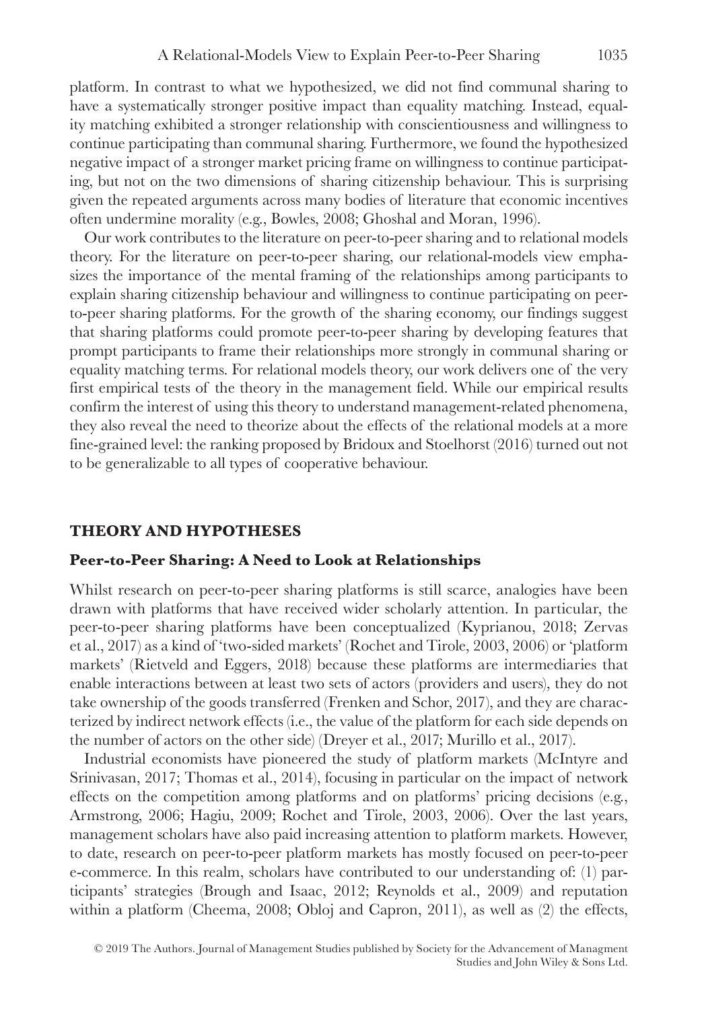platform. In contrast to what we hypothesized, we did not find communal sharing to have a systematically stronger positive impact than equality matching. Instead, equality matching exhibited a stronger relationship with conscientiousness and willingness to continue participating than communal sharing. Furthermore, we found the hypothesized negative impact of a stronger market pricing frame on willingness to continue participating, but not on the two dimensions of sharing citizenship behaviour. This is surprising given the repeated arguments across many bodies of literature that economic incentives often undermine morality (e.g., Bowles, 2008; Ghoshal and Moran, 1996).

Our work contributes to the literature on peer-to-peer sharing and to relational models theory. For the literature on peer-to-peer sharing, our relational-models view emphasizes the importance of the mental framing of the relationships among participants to explain sharing citizenship behaviour and willingness to continue participating on peerto-peer sharing platforms. For the growth of the sharing economy, our findings suggest that sharing platforms could promote peer-to-peer sharing by developing features that prompt participants to frame their relationships more strongly in communal sharing or equality matching terms. For relational models theory, our work delivers one of the very first empirical tests of the theory in the management field. While our empirical results confirm the interest of using this theory to understand management-related phenomena, they also reveal the need to theorize about the effects of the relational models at a more fine-grained level: the ranking proposed by Bridoux and Stoelhorst (2016) turned out not to be generalizable to all types of cooperative behaviour.

#### **THEORY AND HYPOTHESES**

#### **Peer-to-Peer Sharing: A Need to Look at Relationships**

Whilst research on peer-to-peer sharing platforms is still scarce, analogies have been drawn with platforms that have received wider scholarly attention. In particular, the peer-to-peer sharing platforms have been conceptualized (Kyprianou, 2018; Zervas et al., 2017) as a kind of 'two-sided markets' (Rochet and Tirole, 2003, 2006) or 'platform markets' (Rietveld and Eggers, 2018) because these platforms are intermediaries that enable interactions between at least two sets of actors (providers and users), they do not take ownership of the goods transferred (Frenken and Schor, 2017), and they are characterized by indirect network effects (i.e., the value of the platform for each side depends on the number of actors on the other side) (Dreyer et al., 2017; Murillo et al., 2017).

Industrial economists have pioneered the study of platform markets (McIntyre and Srinivasan, 2017; Thomas et al., 2014), focusing in particular on the impact of network effects on the competition among platforms and on platforms' pricing decisions (e.g., Armstrong, 2006; Hagiu, 2009; Rochet and Tirole, 2003, 2006). Over the last years, management scholars have also paid increasing attention to platform markets. However, to date, research on peer-to-peer platform markets has mostly focused on peer-to-peer e-commerce. In this realm, scholars have contributed to our understanding of: (1) participants' strategies (Brough and Isaac, 2012; Reynolds et al., 2009) and reputation within a platform (Cheema, 2008; Obloj and Capron, 2011), as well as (2) the effects,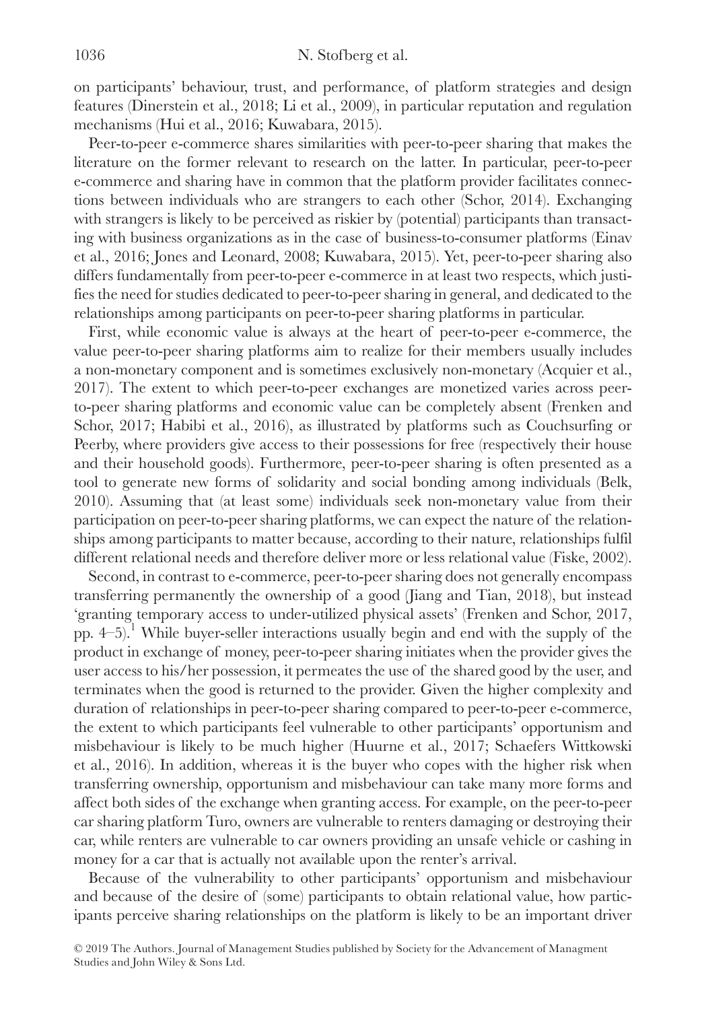on participants' behaviour, trust, and performance, of platform strategies and design features (Dinerstein et al., 2018; Li et al., 2009), in particular reputation and regulation mechanisms (Hui et al., 2016; Kuwabara, 2015).

Peer-to-peer e-commerce shares similarities with peer-to-peer sharing that makes the literature on the former relevant to research on the latter. In particular, peer-to-peer e-commerce and sharing have in common that the platform provider facilitates connections between individuals who are strangers to each other (Schor, 2014). Exchanging with strangers is likely to be perceived as riskier by (potential) participants than transacting with business organizations as in the case of business-to-consumer platforms (Einav et al., 2016; Jones and Leonard, 2008; Kuwabara, 2015). Yet, peer-to-peer sharing also differs fundamentally from peer-to-peer e-commerce in at least two respects, which justifies the need for studies dedicated to peer-to-peer sharing in general, and dedicated to the relationships among participants on peer-to-peer sharing platforms in particular.

First, while economic value is always at the heart of peer-to-peer e-commerce, the value peer-to-peer sharing platforms aim to realize for their members usually includes a non-monetary component and is sometimes exclusively non-monetary (Acquier et al., 2017). The extent to which peer-to-peer exchanges are monetized varies across peerto-peer sharing platforms and economic value can be completely absent (Frenken and Schor, 2017; Habibi et al., 2016), as illustrated by platforms such as Couchsurfing or Peerby, where providers give access to their possessions for free (respectively their house and their household goods). Furthermore, peer-to-peer sharing is often presented as a tool to generate new forms of solidarity and social bonding among individuals (Belk, 2010). Assuming that (at least some) individuals seek non-monetary value from their participation on peer-to-peer sharing platforms, we can expect the nature of the relationships among participants to matter because, according to their nature, relationships fulfil different relational needs and therefore deliver more or less relational value (Fiske, 2002).

Second, in contrast to e-commerce, peer-to-peer sharing does not generally encompass transferring permanently the ownership of a good (Jiang and Tian, 2018), but instead 'granting temporary access to under-utilized physical assets' (Frenken and Schor, 2017, pp.  $4-5$ ).<sup>1</sup> While buyer-seller interactions usually begin and end with the supply of the product in exchange of money, peer-to-peer sharing initiates when the provider gives the user access to his/her possession, it permeates the use of the shared good by the user, and terminates when the good is returned to the provider. Given the higher complexity and duration of relationships in peer-to-peer sharing compared to peer-to-peer e-commerce, the extent to which participants feel vulnerable to other participants' opportunism and misbehaviour is likely to be much higher (Huurne et al., 2017; Schaefers Wittkowski et al., 2016). In addition, whereas it is the buyer who copes with the higher risk when transferring ownership, opportunism and misbehaviour can take many more forms and affect both sides of the exchange when granting access. For example, on the peer-to-peer car sharing platform Turo, owners are vulnerable to renters damaging or destroying their car, while renters are vulnerable to car owners providing an unsafe vehicle or cashing in money for a car that is actually not available upon the renter's arrival.

Because of the vulnerability to other participants' opportunism and misbehaviour and because of the desire of (some) participants to obtain relational value, how participants perceive sharing relationships on the platform is likely to be an important driver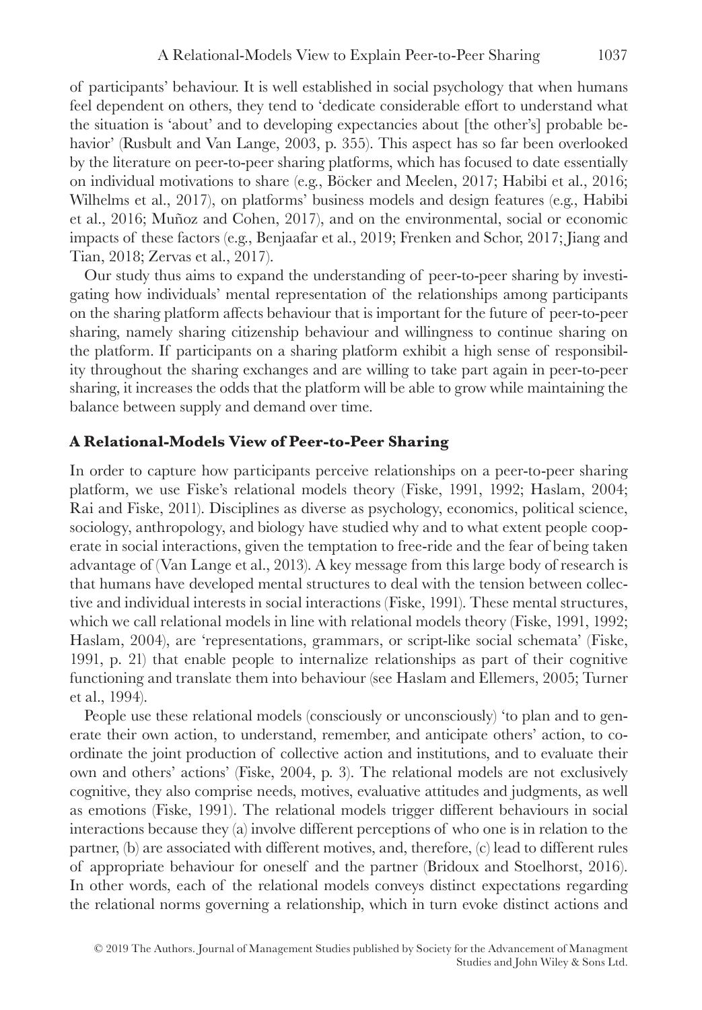of participants' behaviour. It is well established in social psychology that when humans feel dependent on others, they tend to 'dedicate considerable effort to understand what the situation is 'about' and to developing expectancies about [the other's] probable behavior' (Rusbult and Van Lange, 2003, p. 355). This aspect has so far been overlooked by the literature on peer-to-peer sharing platforms, which has focused to date essentially on individual motivations to share (e.g., Böcker and Meelen, 2017; Habibi et al., 2016; Wilhelms et al., 2017), on platforms' business models and design features (e.g., Habibi et al., 2016; Muñoz and Cohen, 2017), and on the environmental, social or economic impacts of these factors (e.g., Benjaafar et al., 2019; Frenken and Schor, 2017; Jiang and Tian, 2018; Zervas et al., 2017).

Our study thus aims to expand the understanding of peer-to-peer sharing by investigating how individuals' mental representation of the relationships among participants on the sharing platform affects behaviour that is important for the future of peer-to-peer sharing, namely sharing citizenship behaviour and willingness to continue sharing on the platform. If participants on a sharing platform exhibit a high sense of responsibility throughout the sharing exchanges and are willing to take part again in peer-to-peer sharing, it increases the odds that the platform will be able to grow while maintaining the balance between supply and demand over time.

## **A Relational-Models View of Peer-to-Peer Sharing**

In order to capture how participants perceive relationships on a peer-to-peer sharing platform, we use Fiske's relational models theory (Fiske, 1991, 1992; Haslam, 2004; Rai and Fiske, 2011). Disciplines as diverse as psychology, economics, political science, sociology, anthropology, and biology have studied why and to what extent people cooperate in social interactions, given the temptation to free-ride and the fear of being taken advantage of (Van Lange et al., 2013). A key message from this large body of research is that humans have developed mental structures to deal with the tension between collective and individual interests in social interactions (Fiske, 1991). These mental structures, which we call relational models in line with relational models theory (Fiske, 1991, 1992; Haslam, 2004), are 'representations, grammars, or script-like social schemata' (Fiske, 1991, p. 21) that enable people to internalize relationships as part of their cognitive functioning and translate them into behaviour (see Haslam and Ellemers, 2005; Turner et al., 1994).

People use these relational models (consciously or unconsciously) 'to plan and to generate their own action, to understand, remember, and anticipate others' action, to coordinate the joint production of collective action and institutions, and to evaluate their own and others' actions' (Fiske, 2004, p. 3). The relational models are not exclusively cognitive, they also comprise needs, motives, evaluative attitudes and judgments, as well as emotions (Fiske, 1991). The relational models trigger different behaviours in social interactions because they (a) involve different perceptions of who one is in relation to the partner, (b) are associated with different motives, and, therefore, (c) lead to different rules of appropriate behaviour for oneself and the partner (Bridoux and Stoelhorst, 2016). In other words, each of the relational models conveys distinct expectations regarding the relational norms governing a relationship, which in turn evoke distinct actions and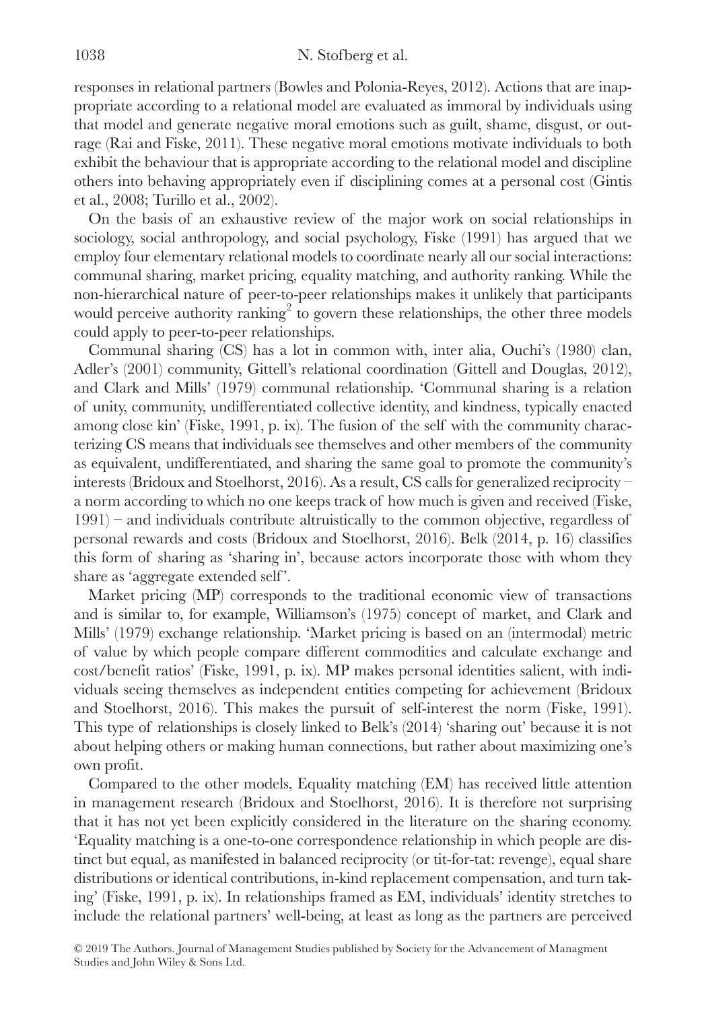responses in relational partners (Bowles and Polonia-Reyes, 2012). Actions that are inappropriate according to a relational model are evaluated as immoral by individuals using that model and generate negative moral emotions such as guilt, shame, disgust, or outrage (Rai and Fiske, 2011). These negative moral emotions motivate individuals to both exhibit the behaviour that is appropriate according to the relational model and discipline others into behaving appropriately even if disciplining comes at a personal cost (Gintis et al., 2008; Turillo et al., 2002).

On the basis of an exhaustive review of the major work on social relationships in sociology, social anthropology, and social psychology, Fiske (1991) has argued that we employ four elementary relational models to coordinate nearly all our social interactions: communal sharing, market pricing, equality matching, and authority ranking. While the non-hierarchical nature of peer-to-peer relationships makes it unlikely that participants would perceive authority ranking<sup>2</sup> to govern these relationships, the other three models could apply to peer-to-peer relationships.

Communal sharing (CS) has a lot in common with, inter alia, Ouchi's (1980) clan, Adler's (2001) community, Gittell's relational coordination (Gittell and Douglas, 2012), and Clark and Mills' (1979) communal relationship. 'Communal sharing is a relation of unity, community, undifferentiated collective identity, and kindness, typically enacted among close kin' (Fiske, 1991, p. ix). The fusion of the self with the community characterizing CS means that individuals see themselves and other members of the community as equivalent, undifferentiated, and sharing the same goal to promote the community's interests (Bridoux and Stoelhorst, 2016). As a result, CS calls for generalized reciprocity – a norm according to which no one keeps track of how much is given and received (Fiske, 1991) – and individuals contribute altruistically to the common objective, regardless of personal rewards and costs (Bridoux and Stoelhorst, 2016). Belk (2014, p. 16) classifies this form of sharing as 'sharing in', because actors incorporate those with whom they share as 'aggregate extended self'.

Market pricing (MP) corresponds to the traditional economic view of transactions and is similar to, for example, Williamson's (1975) concept of market, and Clark and Mills' (1979) exchange relationship. 'Market pricing is based on an (intermodal) metric of value by which people compare different commodities and calculate exchange and cost/benefit ratios' (Fiske, 1991, p. ix). MP makes personal identities salient, with individuals seeing themselves as independent entities competing for achievement (Bridoux and Stoelhorst, 2016). This makes the pursuit of self-interest the norm (Fiske, 1991). This type of relationships is closely linked to Belk's (2014) 'sharing out' because it is not about helping others or making human connections, but rather about maximizing one's own profit.

Compared to the other models, Equality matching (EM) has received little attention in management research (Bridoux and Stoelhorst, 2016). It is therefore not surprising that it has not yet been explicitly considered in the literature on the sharing economy. 'Equality matching is a one-to-one correspondence relationship in which people are distinct but equal, as manifested in balanced reciprocity (or tit-for-tat: revenge), equal share distributions or identical contributions, in-kind replacement compensation, and turn taking' (Fiske, 1991, p. ix). In relationships framed as EM, individuals' identity stretches to include the relational partners' well-being, at least as long as the partners are perceived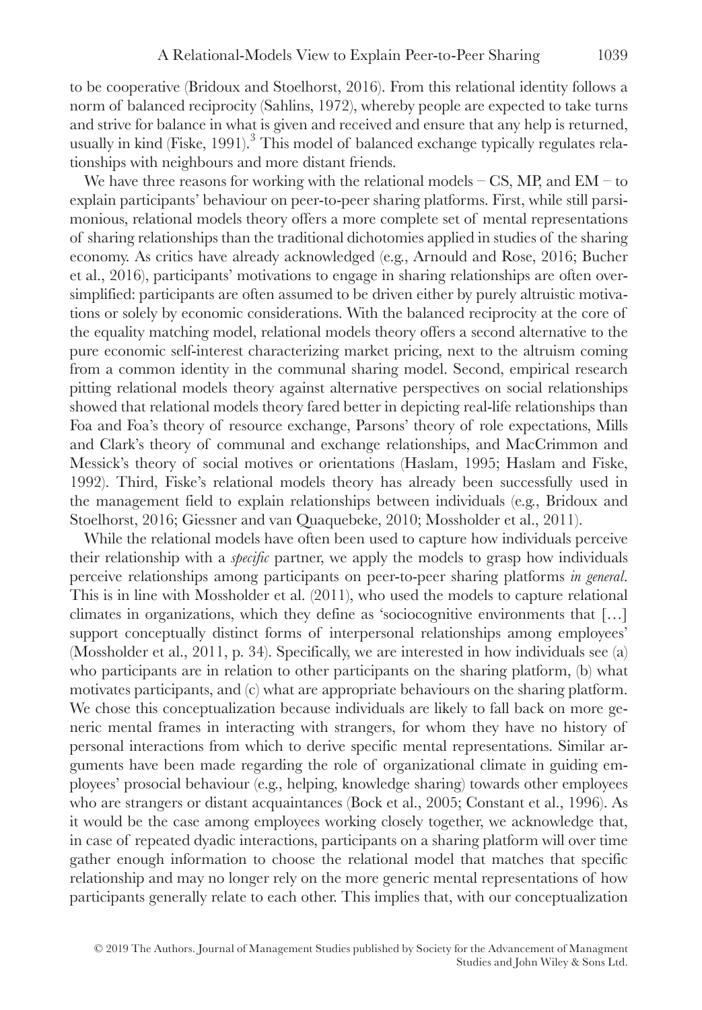to be cooperative (Bridoux and Stoelhorst, 2016). From this relational identity follows a norm of balanced reciprocity (Sahlins, 1972), whereby people are expected to take turns and strive for balance in what is given and received and ensure that any help is returned, usually in kind (Fiske, 1991).<sup>3</sup> This model of balanced exchange typically regulates relationships with neighbours and more distant friends.

We have three reasons for working with the relational models  $-$  CS, MP, and EM – to explain participants' behaviour on peer-to-peer sharing platforms. First, while still parsimonious, relational models theory offers a more complete set of mental representations of sharing relationships than the traditional dichotomies applied in studies of the sharing economy. As critics have already acknowledged (e.g., Arnould and Rose, 2016; Bucher et al., 2016), participants' motivations to engage in sharing relationships are often oversimplified: participants are often assumed to be driven either by purely altruistic motivations or solely by economic considerations. With the balanced reciprocity at the core of the equality matching model, relational models theory offers a second alternative to the pure economic self-interest characterizing market pricing, next to the altruism coming from a common identity in the communal sharing model. Second, empirical research pitting relational models theory against alternative perspectives on social relationships showed that relational models theory fared better in depicting real-life relationships than Foa and Foa's theory of resource exchange, Parsons' theory of role expectations, Mills and Clark's theory of communal and exchange relationships, and MacCrimmon and Messick's theory of social motives or orientations (Haslam, 1995; Haslam and Fiske, 1992). Third, Fiske's relational models theory has already been successfully used in the management field to explain relationships between individuals (e.g., Bridoux and Stoelhorst, 2016; Giessner and van Quaquebeke, 2010; Mossholder et al., 2011).

While the relational models have often been used to capture how individuals perceive their relationship with a *specific* partner, we apply the models to grasp how individuals perceive relationships among participants on peer-to-peer sharing platforms *in general*. This is in line with Mossholder et al. (2011), who used the models to capture relational climates in organizations, which they define as 'sociocognitive environments that […] support conceptually distinct forms of interpersonal relationships among employees' (Mossholder et al., 2011, p. 34). Specifically, we are interested in how individuals see (a) who participants are in relation to other participants on the sharing platform, (b) what motivates participants, and (c) what are appropriate behaviours on the sharing platform. We chose this conceptualization because individuals are likely to fall back on more generic mental frames in interacting with strangers, for whom they have no history of personal interactions from which to derive specific mental representations. Similar arguments have been made regarding the role of organizational climate in guiding employees' prosocial behaviour (e.g., helping, knowledge sharing) towards other employees who are strangers or distant acquaintances (Bock et al., 2005; Constant et al., 1996). As it would be the case among employees working closely together, we acknowledge that, in case of repeated dyadic interactions, participants on a sharing platform will over time gather enough information to choose the relational model that matches that specific relationship and may no longer rely on the more generic mental representations of how participants generally relate to each other. This implies that, with our conceptualization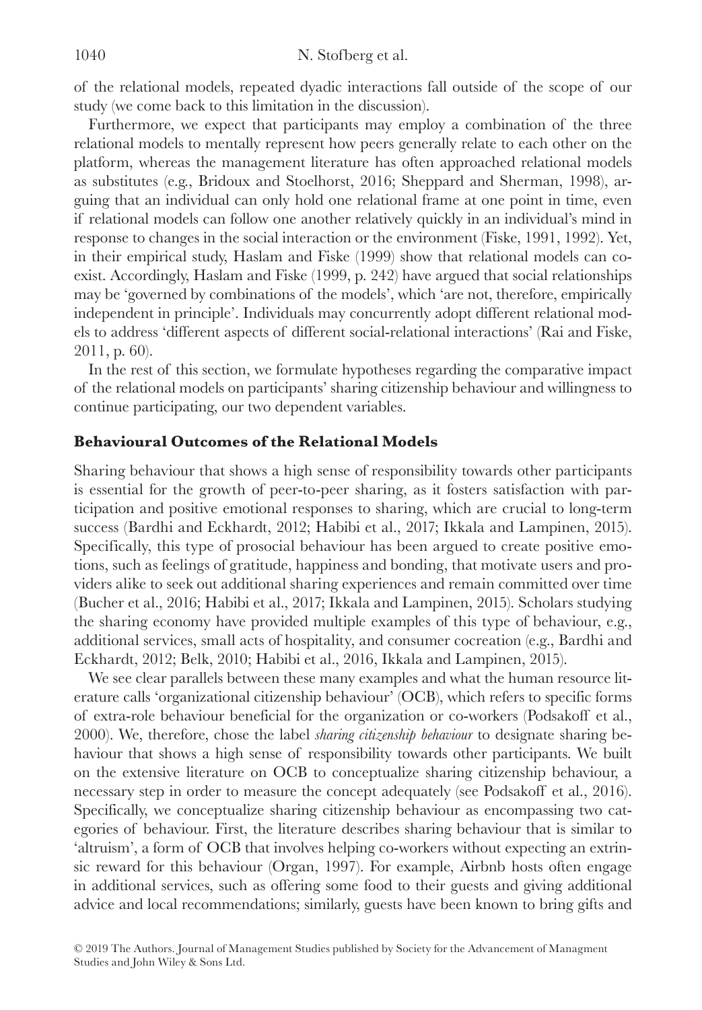of the relational models, repeated dyadic interactions fall outside of the scope of our study (we come back to this limitation in the discussion).

Furthermore, we expect that participants may employ a combination of the three relational models to mentally represent how peers generally relate to each other on the platform, whereas the management literature has often approached relational models as substitutes (e.g., Bridoux and Stoelhorst, 2016; Sheppard and Sherman, 1998), arguing that an individual can only hold one relational frame at one point in time, even if relational models can follow one another relatively quickly in an individual's mind in response to changes in the social interaction or the environment (Fiske, 1991, 1992). Yet, in their empirical study, Haslam and Fiske (1999) show that relational models can coexist. Accordingly, Haslam and Fiske (1999, p. 242) have argued that social relationships may be 'governed by combinations of the models', which 'are not, therefore, empirically independent in principle'. Individuals may concurrently adopt different relational models to address 'different aspects of different social-relational interactions' (Rai and Fiske, 2011, p. 60).

In the rest of this section, we formulate hypotheses regarding the comparative impact of the relational models on participants' sharing citizenship behaviour and willingness to continue participating, our two dependent variables.

## **Behavioural Outcomes of the Relational Models**

Sharing behaviour that shows a high sense of responsibility towards other participants is essential for the growth of peer-to-peer sharing, as it fosters satisfaction with participation and positive emotional responses to sharing, which are crucial to long-term success (Bardhi and Eckhardt, 2012; Habibi et al., 2017; Ikkala and Lampinen, 2015). Specifically, this type of prosocial behaviour has been argued to create positive emotions, such as feelings of gratitude, happiness and bonding, that motivate users and providers alike to seek out additional sharing experiences and remain committed over time (Bucher et al., 2016; Habibi et al., 2017; Ikkala and Lampinen, 2015). Scholars studying the sharing economy have provided multiple examples of this type of behaviour, e.g., additional services, small acts of hospitality, and consumer cocreation (e.g., Bardhi and Eckhardt, 2012; Belk, 2010; Habibi et al., 2016, Ikkala and Lampinen, 2015).

We see clear parallels between these many examples and what the human resource literature calls 'organizational citizenship behaviour' (OCB), which refers to specific forms of extra-role behaviour beneficial for the organization or co-workers (Podsakoff et al., 2000). We, therefore, chose the label *sharing citizenship behaviour* to designate sharing behaviour that shows a high sense of responsibility towards other participants. We built on the extensive literature on OCB to conceptualize sharing citizenship behaviour, a necessary step in order to measure the concept adequately (see Podsakoff et al., 2016). Specifically, we conceptualize sharing citizenship behaviour as encompassing two categories of behaviour. First, the literature describes sharing behaviour that is similar to 'altruism', a form of OCB that involves helping co-workers without expecting an extrinsic reward for this behaviour (Organ, 1997). For example, Airbnb hosts often engage in additional services, such as offering some food to their guests and giving additional advice and local recommendations; similarly, guests have been known to bring gifts and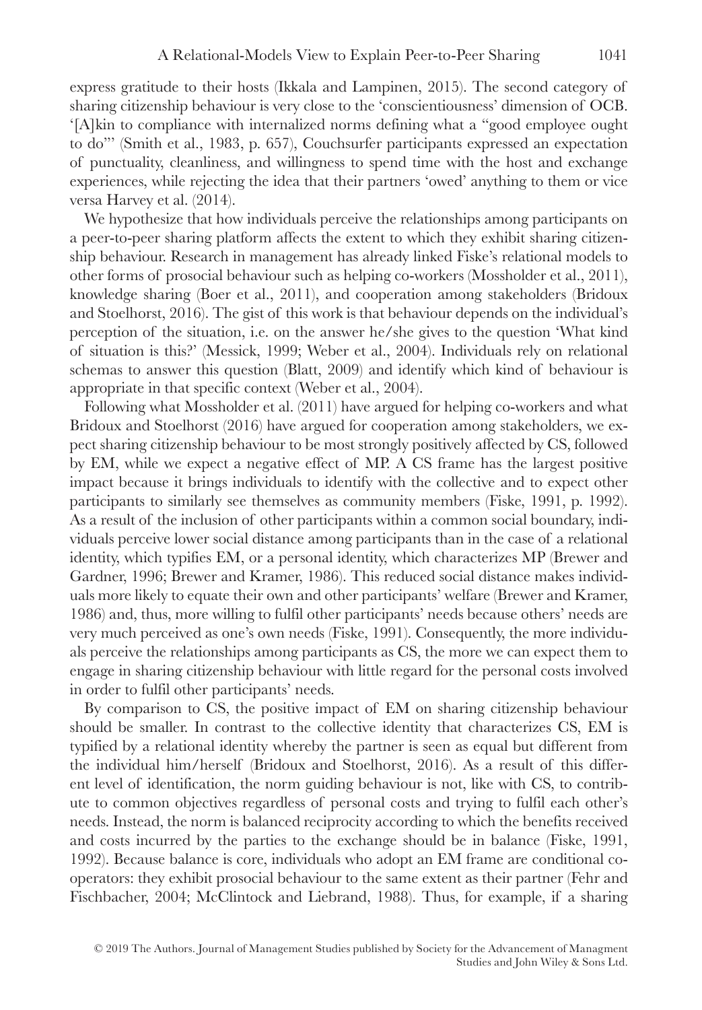express gratitude to their hosts (Ikkala and Lampinen, 2015). The second category of sharing citizenship behaviour is very close to the 'conscientiousness' dimension of OCB. '[A]kin to compliance with internalized norms defining what a "good employee ought to do"' (Smith et al., 1983, p. 657), Couchsurfer participants expressed an expectation of punctuality, cleanliness, and willingness to spend time with the host and exchange experiences, while rejecting the idea that their partners 'owed' anything to them or vice versa Harvey et al. (2014).

We hypothesize that how individuals perceive the relationships among participants on a peer-to-peer sharing platform affects the extent to which they exhibit sharing citizenship behaviour. Research in management has already linked Fiske's relational models to other forms of prosocial behaviour such as helping co-workers (Mossholder et al., 2011), knowledge sharing (Boer et al., 2011), and cooperation among stakeholders (Bridoux and Stoelhorst, 2016). The gist of this work is that behaviour depends on the individual's perception of the situation, i.e. on the answer he/she gives to the question 'What kind of situation is this?' (Messick, 1999; Weber et al., 2004). Individuals rely on relational schemas to answer this question (Blatt, 2009) and identify which kind of behaviour is appropriate in that specific context (Weber et al., 2004).

Following what Mossholder et al. (2011) have argued for helping co-workers and what Bridoux and Stoelhorst (2016) have argued for cooperation among stakeholders, we expect sharing citizenship behaviour to be most strongly positively affected by CS, followed by EM, while we expect a negative effect of MP. A CS frame has the largest positive impact because it brings individuals to identify with the collective and to expect other participants to similarly see themselves as community members (Fiske, 1991, p. 1992). As a result of the inclusion of other participants within a common social boundary, individuals perceive lower social distance among participants than in the case of a relational identity, which typifies EM, or a personal identity, which characterizes MP (Brewer and Gardner, 1996; Brewer and Kramer, 1986). This reduced social distance makes individuals more likely to equate their own and other participants' welfare (Brewer and Kramer, 1986) and, thus, more willing to fulfil other participants' needs because others' needs are very much perceived as one's own needs (Fiske, 1991). Consequently, the more individuals perceive the relationships among participants as CS, the more we can expect them to engage in sharing citizenship behaviour with little regard for the personal costs involved in order to fulfil other participants' needs.

By comparison to CS, the positive impact of EM on sharing citizenship behaviour should be smaller. In contrast to the collective identity that characterizes CS, EM is typified by a relational identity whereby the partner is seen as equal but different from the individual him/herself (Bridoux and Stoelhorst, 2016). As a result of this different level of identification, the norm guiding behaviour is not, like with CS, to contribute to common objectives regardless of personal costs and trying to fulfil each other's needs. Instead, the norm is balanced reciprocity according to which the benefits received and costs incurred by the parties to the exchange should be in balance (Fiske, 1991, 1992). Because balance is core, individuals who adopt an EM frame are conditional cooperators: they exhibit prosocial behaviour to the same extent as their partner (Fehr and Fischbacher, 2004; McClintock and Liebrand, 1988). Thus, for example, if a sharing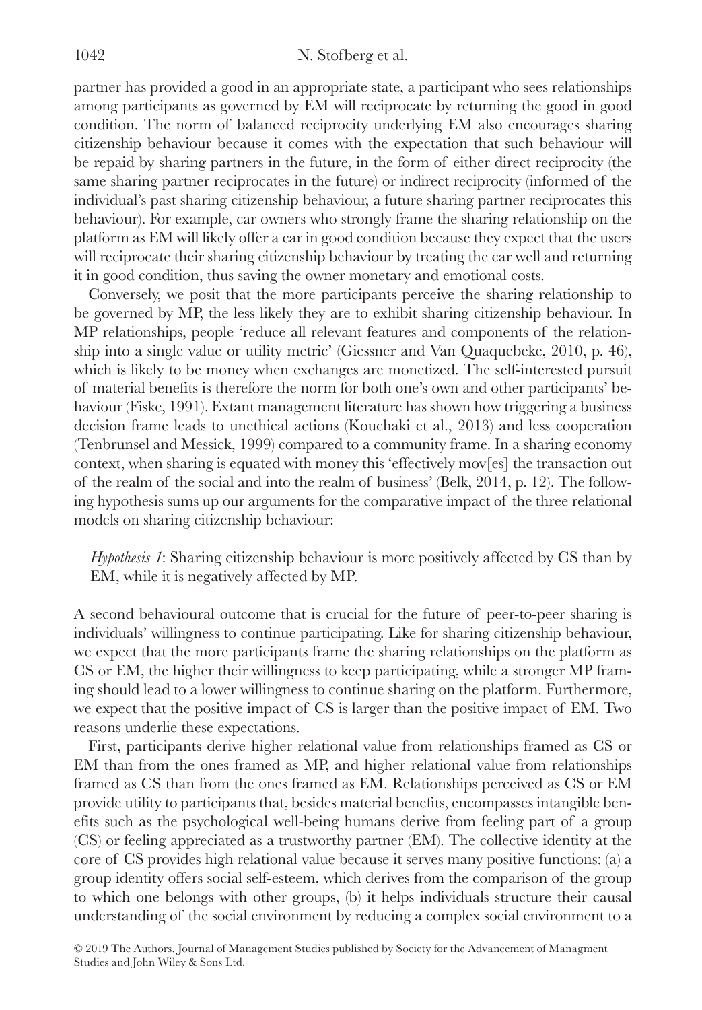partner has provided a good in an appropriate state, a participant who sees relationships among participants as governed by EM will reciprocate by returning the good in good condition. The norm of balanced reciprocity underlying EM also encourages sharing citizenship behaviour because it comes with the expectation that such behaviour will be repaid by sharing partners in the future, in the form of either direct reciprocity (the same sharing partner reciprocates in the future) or indirect reciprocity (informed of the individual's past sharing citizenship behaviour, a future sharing partner reciprocates this behaviour). For example, car owners who strongly frame the sharing relationship on the platform as EM will likely offer a car in good condition because they expect that the users will reciprocate their sharing citizenship behaviour by treating the car well and returning it in good condition, thus saving the owner monetary and emotional costs.

Conversely, we posit that the more participants perceive the sharing relationship to be governed by MP, the less likely they are to exhibit sharing citizenship behaviour. In MP relationships, people 'reduce all relevant features and components of the relationship into a single value or utility metric' (Giessner and Van Quaquebeke, 2010, p. 46), which is likely to be money when exchanges are monetized. The self-interested pursuit of material benefits is therefore the norm for both one's own and other participants' behaviour (Fiske, 1991). Extant management literature has shown how triggering a business decision frame leads to unethical actions (Kouchaki et al., 2013) and less cooperation (Tenbrunsel and Messick, 1999) compared to a community frame. In a sharing economy context, when sharing is equated with money this 'effectively mov[es] the transaction out of the realm of the social and into the realm of business' (Belk, 2014, p. 12). The following hypothesis sums up our arguments for the comparative impact of the three relational models on sharing citizenship behaviour:

*Hypothesis 1*: Sharing citizenship behaviour is more positively affected by CS than by EM, while it is negatively affected by MP.

A second behavioural outcome that is crucial for the future of peer-to-peer sharing is individuals' willingness to continue participating. Like for sharing citizenship behaviour, we expect that the more participants frame the sharing relationships on the platform as CS or EM, the higher their willingness to keep participating, while a stronger MP framing should lead to a lower willingness to continue sharing on the platform. Furthermore, we expect that the positive impact of CS is larger than the positive impact of EM. Two reasons underlie these expectations.

First, participants derive higher relational value from relationships framed as CS or EM than from the ones framed as MP, and higher relational value from relationships framed as CS than from the ones framed as EM. Relationships perceived as CS or EM provide utility to participants that, besides material benefits, encompasses intangible benefits such as the psychological well-being humans derive from feeling part of a group (CS) or feeling appreciated as a trustworthy partner (EM). The collective identity at the core of CS provides high relational value because it serves many positive functions: (a) a group identity offers social self-esteem, which derives from the comparison of the group to which one belongs with other groups, (b) it helps individuals structure their causal understanding of the social environment by reducing a complex social environment to a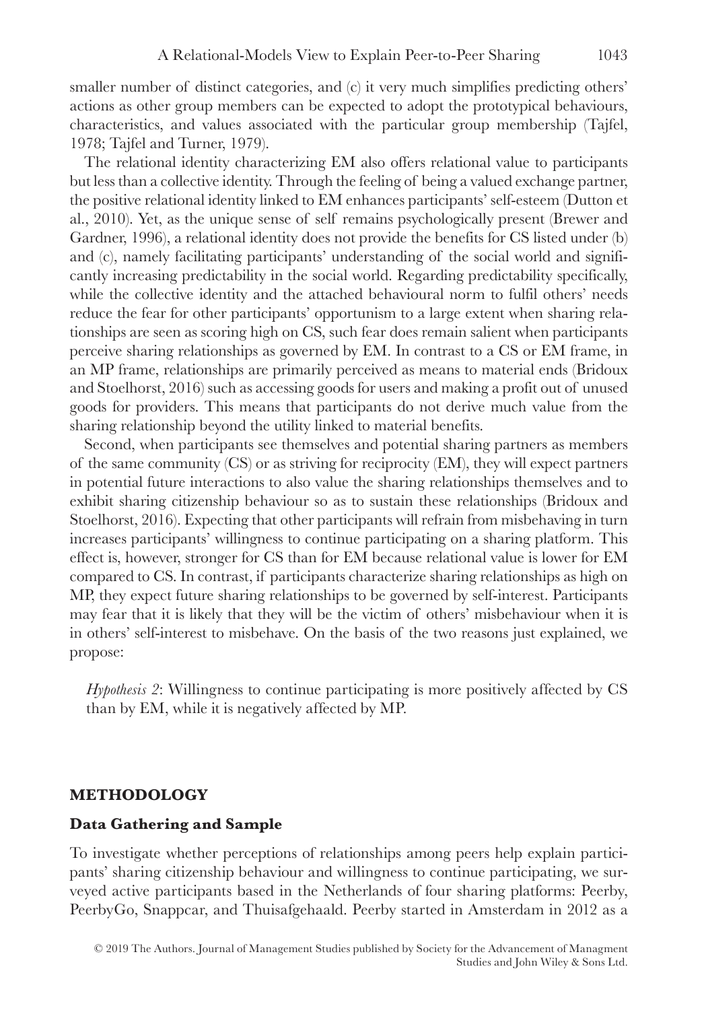smaller number of distinct categories, and (c) it very much simplifies predicting others' actions as other group members can be expected to adopt the prototypical behaviours, characteristics, and values associated with the particular group membership (Tajfel, 1978; Tajfel and Turner, 1979).

The relational identity characterizing EM also offers relational value to participants but less than a collective identity. Through the feeling of being a valued exchange partner, the positive relational identity linked to EM enhances participants' self-esteem (Dutton et al., 2010). Yet, as the unique sense of self remains psychologically present (Brewer and Gardner, 1996), a relational identity does not provide the benefits for CS listed under (b) and (c), namely facilitating participants' understanding of the social world and significantly increasing predictability in the social world. Regarding predictability specifically, while the collective identity and the attached behavioural norm to fulfil others' needs reduce the fear for other participants' opportunism to a large extent when sharing relationships are seen as scoring high on CS, such fear does remain salient when participants perceive sharing relationships as governed by EM. In contrast to a CS or EM frame, in an MP frame, relationships are primarily perceived as means to material ends (Bridoux and Stoelhorst, 2016) such as accessing goods for users and making a profit out of unused goods for providers. This means that participants do not derive much value from the sharing relationship beyond the utility linked to material benefits.

Second, when participants see themselves and potential sharing partners as members of the same community (CS) or as striving for reciprocity (EM), they will expect partners in potential future interactions to also value the sharing relationships themselves and to exhibit sharing citizenship behaviour so as to sustain these relationships (Bridoux and Stoelhorst, 2016). Expecting that other participants will refrain from misbehaving in turn increases participants' willingness to continue participating on a sharing platform. This effect is, however, stronger for CS than for EM because relational value is lower for EM compared to CS. In contrast, if participants characterize sharing relationships as high on MP, they expect future sharing relationships to be governed by self-interest. Participants may fear that it is likely that they will be the victim of others' misbehaviour when it is in others' self-interest to misbehave. On the basis of the two reasons just explained, we propose:

*Hypothesis 2*: Willingness to continue participating is more positively affected by CS than by EM, while it is negatively affected by MP.

#### **METHODOLOGY**

#### **Data Gathering and Sample**

To investigate whether perceptions of relationships among peers help explain participants' sharing citizenship behaviour and willingness to continue participating, we surveyed active participants based in the Netherlands of four sharing platforms: Peerby, PeerbyGo, Snappcar, and Thuisafgehaald. Peerby started in Amsterdam in 2012 as a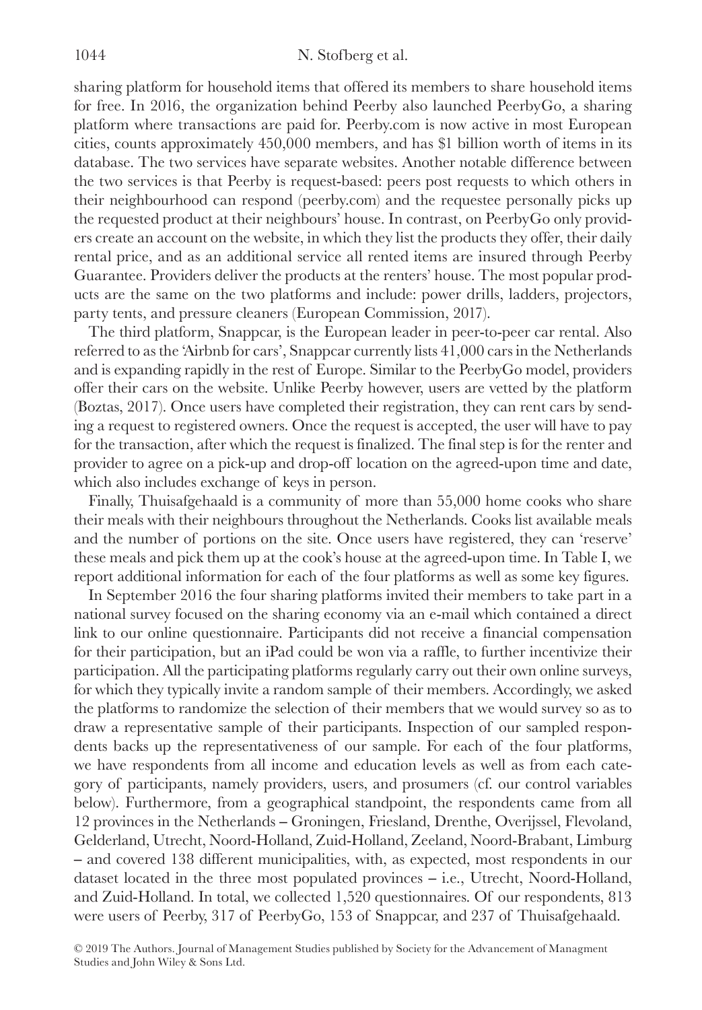sharing platform for household items that offered its members to share household items for free. In 2016, the organization behind Peerby also launched PeerbyGo, a sharing platform where transactions are paid for. Peerby.com is now active in most European cities, counts approximately 450,000 members, and has \$1 billion worth of items in its database. The two services have separate websites. Another notable difference between the two services is that Peerby is request-based: peers post requests to which others in their neighbourhood can respond (peerby.com) and the requestee personally picks up the requested product at their neighbours' house. In contrast, on PeerbyGo only providers create an account on the website, in which they list the products they offer, their daily rental price, and as an additional service all rented items are insured through Peerby Guarantee. Providers deliver the products at the renters' house. The most popular products are the same on the two platforms and include: power drills, ladders, projectors, party tents, and pressure cleaners (European Commission, 2017).

The third platform, Snappcar, is the European leader in peer-to-peer car rental. Also referred to as the 'Airbnb for cars', Snappcar currently lists 41,000 cars in the Netherlands and is expanding rapidly in the rest of Europe. Similar to the PeerbyGo model, providers offer their cars on the website. Unlike Peerby however, users are vetted by the platform (Boztas, 2017). Once users have completed their registration, they can rent cars by sending a request to registered owners. Once the request is accepted, the user will have to pay for the transaction, after which the request is finalized. The final step is for the renter and provider to agree on a pick-up and drop-off location on the agreed-upon time and date, which also includes exchange of keys in person.

Finally, Thuisafgehaald is a community of more than 55,000 home cooks who share their meals with their neighbours throughout the Netherlands. Cooks list available meals and the number of portions on the site. Once users have registered, they can 'reserve' these meals and pick them up at the cook's house at the agreed-upon time. In Table I, we report additional information for each of the four platforms as well as some key figures.

In September 2016 the four sharing platforms invited their members to take part in a national survey focused on the sharing economy via an e-mail which contained a direct link to our online questionnaire. Participants did not receive a financial compensation for their participation, but an iPad could be won via a raffle, to further incentivize their participation. All the participating platforms regularly carry out their own online surveys, for which they typically invite a random sample of their members. Accordingly, we asked the platforms to randomize the selection of their members that we would survey so as to draw a representative sample of their participants. Inspection of our sampled respondents backs up the representativeness of our sample. For each of the four platforms, we have respondents from all income and education levels as well as from each category of participants, namely providers, users, and prosumers (cf. our control variables below). Furthermore, from a geographical standpoint, the respondents came from all 12 provinces in the Netherlands ‒ Groningen, Friesland, Drenthe, Overijssel, Flevoland, Gelderland, Utrecht, Noord-Holland, Zuid-Holland, Zeeland, Noord-Brabant, Limburg ‒ and covered 138 different municipalities, with, as expected, most respondents in our dataset located in the three most populated provinces ‒ i.e., Utrecht, Noord-Holland, and Zuid-Holland. In total, we collected 1,520 questionnaires. Of our respondents, 813 were users of Peerby, 317 of PeerbyGo, 153 of Snappcar, and 237 of Thuisafgehaald.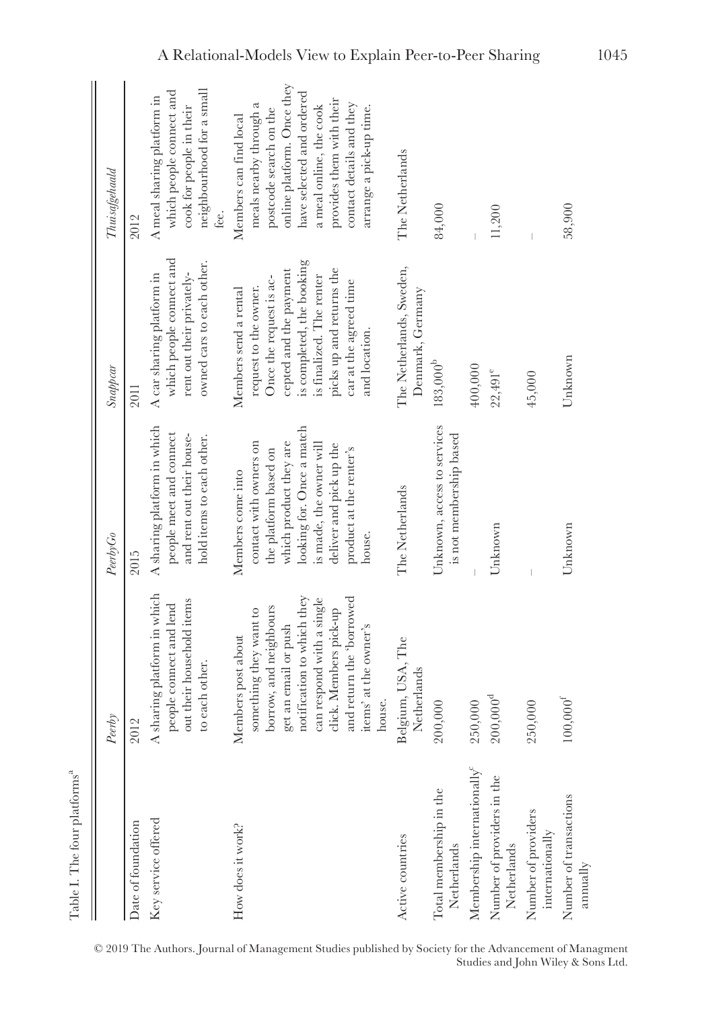|                                             | Peerby                                                                                                                                                                                                                                          | PeerbyGo                                                                                                                                                                                                               | Snappcar                                                                                                                                                                                                                            | Thuisafgehaald                                                                                                                                                                                                                                      |
|---------------------------------------------|-------------------------------------------------------------------------------------------------------------------------------------------------------------------------------------------------------------------------------------------------|------------------------------------------------------------------------------------------------------------------------------------------------------------------------------------------------------------------------|-------------------------------------------------------------------------------------------------------------------------------------------------------------------------------------------------------------------------------------|-----------------------------------------------------------------------------------------------------------------------------------------------------------------------------------------------------------------------------------------------------|
| Date of foundation                          | 2012                                                                                                                                                                                                                                            | 2015                                                                                                                                                                                                                   | 2011                                                                                                                                                                                                                                | 2012                                                                                                                                                                                                                                                |
| Key service offered                         | A sharing platform in which<br>out their household items<br>people connect and lend<br>o each other.                                                                                                                                            | A sharing platform in which<br>people meet and connect<br>and rent out their house-<br>hold items to each other.                                                                                                       | which people connect and<br>owned cars to each other.<br>rent out their privately-<br>A car sharing platform in                                                                                                                     | neighbourhood for a small<br>which people connect and<br>A meal sharing platform in<br>cook for people in their<br>.<br>Lec.                                                                                                                        |
| How does it work?                           | notification to which they<br>and return the 'borrowed<br>an respond with a single<br>porrow, and neighbours<br>something they want to<br>lick. Members pick-up<br>get an email or push<br>tems' at the owner's<br>Members post about<br>nouse. | looking for. Once a match<br>which product they are<br>contact with owners on<br>is made, the owner will<br>deliver and pick up the<br>product at the renter's<br>the platform based on<br>Members come into<br>house. | is completed, the booking<br>picks up and returns the<br>cepted and the payment<br>is finalized. The renter<br>Once the request is ac-<br>car at the agreed time<br>request to the owner.<br>Members send a rental<br>and location. | online platform. Once they<br>have selected and ordered<br>provides them with their<br>contact details and they<br>meals nearby through a<br>a meal online, the cook<br>arrange a pick-up time.<br>postcode search on the<br>Members can find local |
| Active countries                            | Belgium, USA, The<br>Netherlands                                                                                                                                                                                                                | The Netherlands                                                                                                                                                                                                        | The Netherlands, Sweden,<br>Denmark, Germany                                                                                                                                                                                        | The Netherlands                                                                                                                                                                                                                                     |
| Total membership in the<br>Netherlands      | 200,000                                                                                                                                                                                                                                         | Unknown, access to services<br>is not membership based                                                                                                                                                                 | $183,000^{\rm b}$                                                                                                                                                                                                                   | 84,000                                                                                                                                                                                                                                              |
| Membership internationally <sup>c</sup>     | 250,000                                                                                                                                                                                                                                         |                                                                                                                                                                                                                        | 400,000                                                                                                                                                                                                                             |                                                                                                                                                                                                                                                     |
| Number of providers in the<br>Netherlands   | $200,000^d$                                                                                                                                                                                                                                     | Unknown                                                                                                                                                                                                                | $22,491^e$                                                                                                                                                                                                                          | 11,200                                                                                                                                                                                                                                              |
| Number of providers<br>internationally      | 250,000                                                                                                                                                                                                                                         |                                                                                                                                                                                                                        | 45,000                                                                                                                                                                                                                              |                                                                                                                                                                                                                                                     |
| Number of transactions<br>$_{\rm annually}$ | $100,000$ <sup>1</sup>                                                                                                                                                                                                                          | Unknown                                                                                                                                                                                                                | Unknown                                                                                                                                                                                                                             | 58,900                                                                                                                                                                                                                                              |

<sup>© 2019</sup> The Authors. Journal of Management Studies published by Society for the Advancement of Managment Studies and John Wiley & Sons Ltd.

Table I. The four platforms<sup>a</sup>

Table I. The four platforms  $\!a}$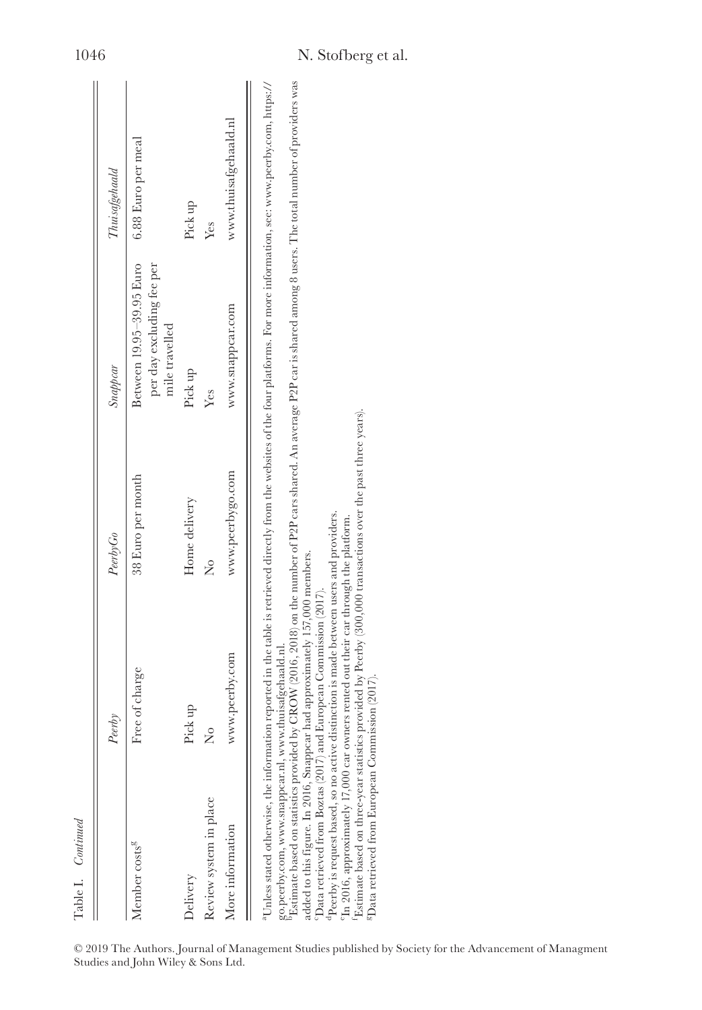| ee of charge<br>Pick up<br>Member costs <sup>8</sup><br>Delivery |                   |                                                                         | Thuisafgehaald        |
|------------------------------------------------------------------|-------------------|-------------------------------------------------------------------------|-----------------------|
|                                                                  | 38 Euro per month | Between 19.95-39.95 Euro<br>per day excluding fee per<br>mile travelled | 6.88 Euro per meal    |
|                                                                  | Home delivery     | Pick up                                                                 | Pick up               |
| ž<br>Review system in place                                      | ż                 | Yes                                                                     | Yes                   |
| www.peerby.com<br>More information                               | www.peerbygo.com  | www.snappcar.com                                                        | www.thuisafgehaald.nl |

|                                    | © 2019 The Authors. Journal of Management Studies published by Society for the Advancement of Managment |  |  |
|------------------------------------|---------------------------------------------------------------------------------------------------------|--|--|
| Studies and John Wiley & Sons Ltd. |                                                                                                         |  |  |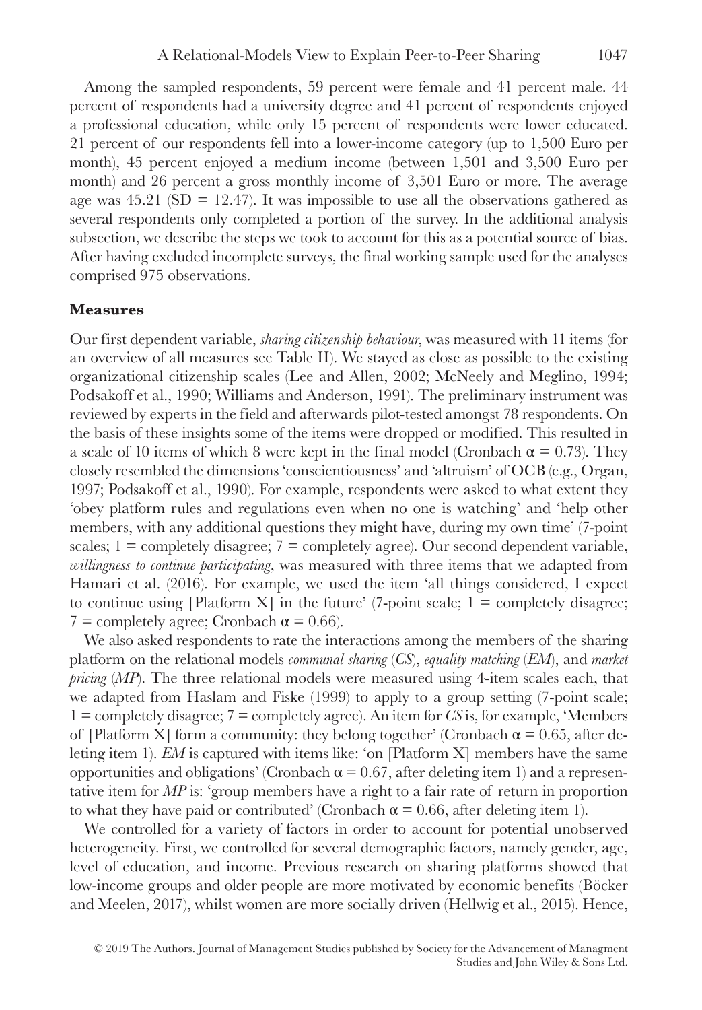Among the sampled respondents, 59 percent were female and 41 percent male. 44 percent of respondents had a university degree and 41 percent of respondents enjoyed a professional education, while only 15 percent of respondents were lower educated. 21 percent of our respondents fell into a lower-income category (up to 1,500 Euro per month), 45 percent enjoyed a medium income (between 1,501 and 3,500 Euro per month) and 26 percent a gross monthly income of 3,501 Euro or more. The average age was  $45.21$  (SD = 12.47). It was impossible to use all the observations gathered as several respondents only completed a portion of the survey. In the additional analysis subsection, we describe the steps we took to account for this as a potential source of bias. After having excluded incomplete surveys, the final working sample used for the analyses comprised 975 observations.

#### **Measures**

Our first dependent variable, *sharing citizenship behaviour*, was measured with 11 items (for an overview of all measures see Table II). We stayed as close as possible to the existing organizational citizenship scales (Lee and Allen, 2002; McNeely and Meglino, 1994; Podsakoff et al., 1990; Williams and Anderson, 1991). The preliminary instrument was reviewed by experts in the field and afterwards pilot-tested amongst 78 respondents. On the basis of these insights some of the items were dropped or modified. This resulted in a scale of 10 items of which 8 were kept in the final model (Cronbach  $\alpha = 0.73$ ). They closely resembled the dimensions 'conscientiousness' and 'altruism' of OCB (e.g., Organ, 1997; Podsakoff et al., 1990). For example, respondents were asked to what extent they 'obey platform rules and regulations even when no one is watching' and 'help other members, with any additional questions they might have, during my own time' (7-point scales;  $1 \equiv$  completely disagree;  $7 \equiv$  completely agree). Our second dependent variable, *willingness to continue participating*, was measured with three items that we adapted from Hamari et al. (2016). For example, we used the item 'all things considered, I expect to continue using [Platform X] in the future' (7-point scale;  $1 =$  completely disagree;  $7 =$  completely agree; Cronbach  $\alpha = 0.66$ ).

We also asked respondents to rate the interactions among the members of the sharing platform on the relational models *communal sharing* (*CS*), *equality matching* (*EM*), and *market pricing* (*MP*). The three relational models were measured using 4-item scales each, that we adapted from Haslam and Fiske (1999) to apply to a group setting (7-point scale; 1 = completely disagree; 7 = completely agree). An item for *CS* is, for example, 'Members of [Platform X] form a community: they belong together' (Cronbach  $\alpha = 0.65$ , after deleting item 1). *EM* is captured with items like: 'on [Platform X] members have the same opportunities and obligations' (Cronbach  $\alpha$  = 0.67, after deleting item 1) and a representative item for *MP* is: 'group members have a right to a fair rate of return in proportion to what they have paid or contributed' (Cronbach  $\alpha = 0.66$ , after deleting item 1).

We controlled for a variety of factors in order to account for potential unobserved heterogeneity. First, we controlled for several demographic factors, namely gender, age, level of education, and income. Previous research on sharing platforms showed that low-income groups and older people are more motivated by economic benefits (Böcker and Meelen, 2017), whilst women are more socially driven (Hellwig et al., 2015). Hence,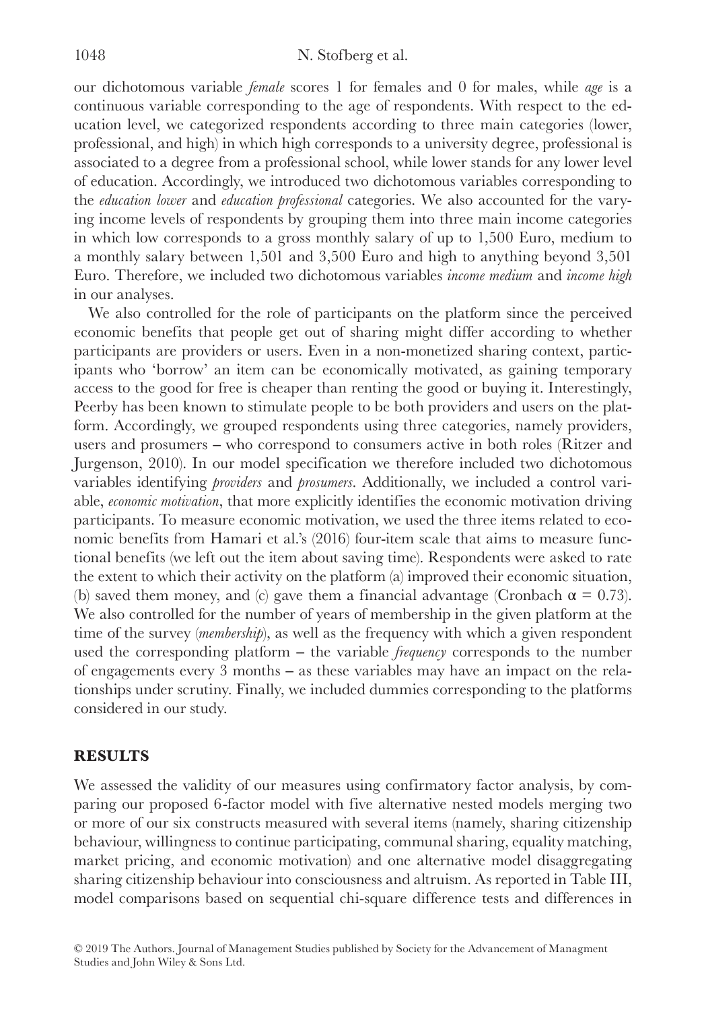our dichotomous variable *female* scores 1 for females and 0 for males, while *age* is a continuous variable corresponding to the age of respondents. With respect to the education level, we categorized respondents according to three main categories (lower, professional, and high) in which high corresponds to a university degree, professional is associated to a degree from a professional school, while lower stands for any lower level of education. Accordingly, we introduced two dichotomous variables corresponding to the *education lower* and *education professional* categories. We also accounted for the varying income levels of respondents by grouping them into three main income categories in which low corresponds to a gross monthly salary of up to 1,500 Euro, medium to a monthly salary between 1,501 and 3,500 Euro and high to anything beyond 3,501 Euro. Therefore, we included two dichotomous variables *income medium* and *income high* in our analyses.

We also controlled for the role of participants on the platform since the perceived economic benefits that people get out of sharing might differ according to whether participants are providers or users. Even in a non-monetized sharing context, participants who 'borrow' an item can be economically motivated, as gaining temporary access to the good for free is cheaper than renting the good or buying it. Interestingly, Peerby has been known to stimulate people to be both providers and users on the platform. Accordingly, we grouped respondents using three categories, namely providers, users and prosumers ‒ who correspond to consumers active in both roles (Ritzer and Jurgenson, 2010). In our model specification we therefore included two dichotomous variables identifying *providers* and *prosumers*. Additionally, we included a control variable, *economic motivation*, that more explicitly identifies the economic motivation driving participants. To measure economic motivation, we used the three items related to economic benefits from Hamari et al.'s (2016) four-item scale that aims to measure functional benefits (we left out the item about saving time). Respondents were asked to rate the extent to which their activity on the platform (a) improved their economic situation, (b) saved them money, and (c) gave them a financial advantage (Cronbach  $\alpha = 0.73$ ). We also controlled for the number of years of membership in the given platform at the time of the survey (*membership*), as well as the frequency with which a given respondent used the corresponding platform – the variable *frequency* corresponds to the number of engagements every 3 months ‒ as these variables may have an impact on the relationships under scrutiny. Finally, we included dummies corresponding to the platforms considered in our study.

## **RESULTS**

We assessed the validity of our measures using confirmatory factor analysis, by comparing our proposed 6-factor model with five alternative nested models merging two or more of our six constructs measured with several items (namely, sharing citizenship behaviour, willingness to continue participating, communal sharing, equality matching, market pricing, and economic motivation) and one alternative model disaggregating sharing citizenship behaviour into consciousness and altruism. As reported in Table III, model comparisons based on sequential chi-square difference tests and differences in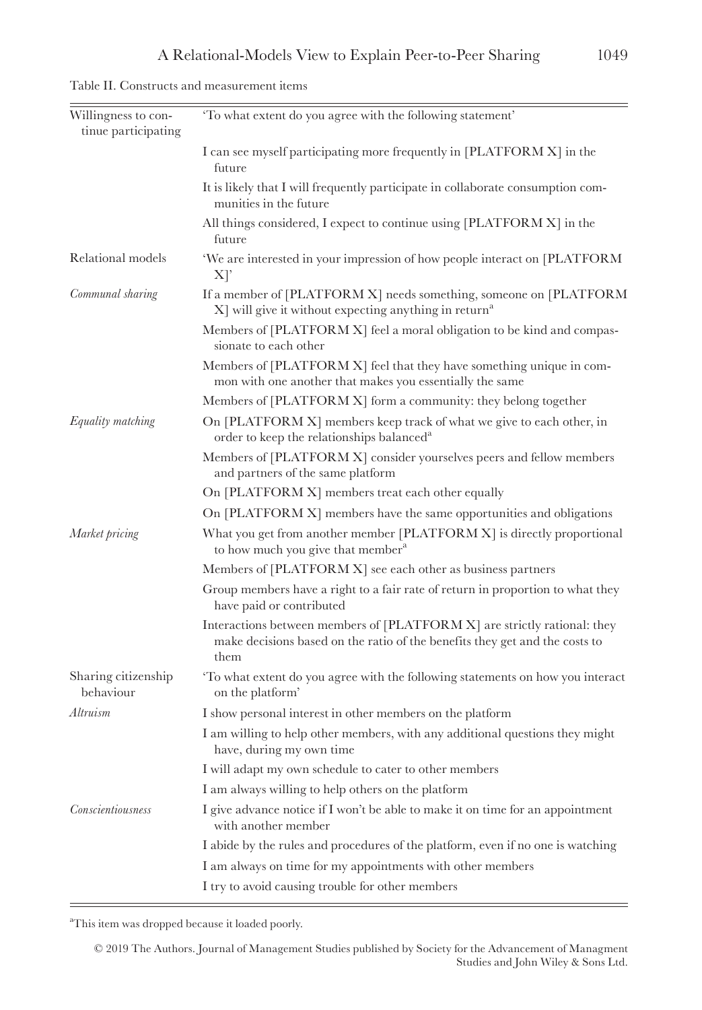| Table II. Constructs and measurement items |  |
|--------------------------------------------|--|
|--------------------------------------------|--|

| Willingness to con-<br>tinue participating | 'To what extent do you agree with the following statement'                                                                                                      |
|--------------------------------------------|-----------------------------------------------------------------------------------------------------------------------------------------------------------------|
|                                            | I can see myself participating more frequently in [PLATFORM X] in the<br>future                                                                                 |
|                                            | It is likely that I will frequently participate in collaborate consumption com-<br>munities in the future                                                       |
|                                            | All things considered, I expect to continue using [PLATFORM X] in the<br>future                                                                                 |
| Relational models                          | 'We are interested in your impression of how people interact on [PLATFORM<br>$X$ <sup>'</sup>                                                                   |
| Communal sharing                           | If a member of [PLATFORM X] needs something, someone on [PLATFORM<br>$X$ ] will give it without expecting anything in return <sup>a</sup>                       |
|                                            | Members of [PLATFORM X] feel a moral obligation to be kind and compas-<br>sionate to each other                                                                 |
|                                            | Members of [PLATFORM X] feel that they have something unique in com-<br>mon with one another that makes you essentially the same                                |
|                                            | Members of [PLATFORM X] form a community: they belong together                                                                                                  |
| Equality matching                          | On [PLATFORM X] members keep track of what we give to each other, in<br>order to keep the relationships balanced <sup>a</sup>                                   |
|                                            | Members of [PLATFORM X] consider yourselves peers and fellow members<br>and partners of the same platform                                                       |
|                                            | On [PLATFORM X] members treat each other equally                                                                                                                |
|                                            | On [PLATFORM X] members have the same opportunities and obligations                                                                                             |
| Market pricing                             | What you get from another member [PLATFORM X] is directly proportional<br>to how much you give that member <sup>a</sup>                                         |
|                                            | Members of [PLATFORM X] see each other as business partners                                                                                                     |
|                                            | Group members have a right to a fair rate of return in proportion to what they<br>have paid or contributed                                                      |
|                                            | Interactions between members of [PLATFORM X] are strictly rational: they<br>make decisions based on the ratio of the benefits they get and the costs to<br>them |
| Sharing citizenship<br>behaviour           | To what extent do you agree with the following statements on how you interact<br>on the platform'                                                               |
| Altruism                                   | I show personal interest in other members on the platform                                                                                                       |
|                                            | I am willing to help other members, with any additional questions they might<br>have, during my own time                                                        |
|                                            | I will adapt my own schedule to cater to other members                                                                                                          |
|                                            | I am always willing to help others on the platform                                                                                                              |
| <b>Conscientiousness</b>                   | I give advance notice if I won't be able to make it on time for an appointment<br>with another member                                                           |
|                                            | I abide by the rules and procedures of the platform, even if no one is watching                                                                                 |
|                                            | I am always on time for my appointments with other members                                                                                                      |
|                                            | I try to avoid causing trouble for other members                                                                                                                |

<sup>a</sup>This item was dropped because it loaded poorly.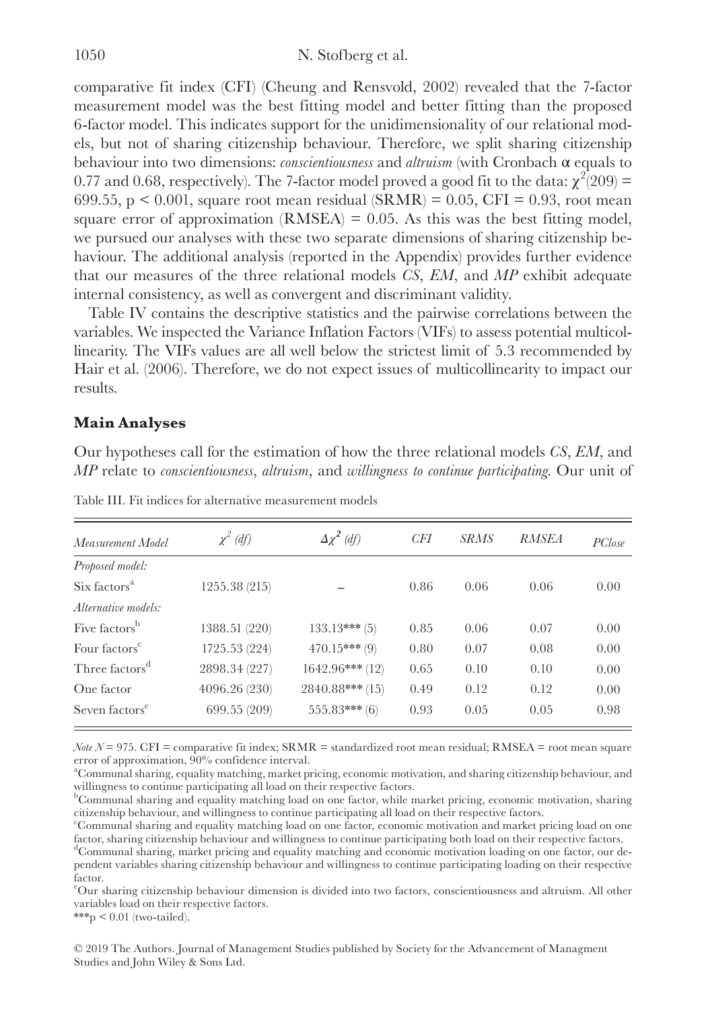comparative fit index (CFI) (Cheung and Rensvold, 2002) revealed that the 7-factor measurement model was the best fitting model and better fitting than the proposed 6-factor model. This indicates support for the unidimensionality of our relational models, but not of sharing citizenship behaviour. Therefore, we split sharing citizenship behaviour into two dimensions: *conscientiousness* and *altruism* (with Cronbach α equals to 0.77 and 0.68, respectively). The 7-factor model proved a good fit to the data:  $\chi^2(209)$  = 699.55,  $p < 0.001$ , square root mean residual (SRMR) = 0.05, CFI = 0.93, root mean square error of approximation  $(RMSEA) = 0.05$ . As this was the best fitting model, we pursued our analyses with these two separate dimensions of sharing citizenship behaviour. The additional analysis (reported in the Appendix) provides further evidence that our measures of the three relational models *CS*, *EM*, and *MP* exhibit adequate internal consistency, as well as convergent and discriminant validity.

Table IV contains the descriptive statistics and the pairwise correlations between the variables. We inspected the Variance Inflation Factors (VIFs) to assess potential multicollinearity. The VIFs values are all well below the strictest limit of 5.3 recommended by Hair et al. (2006). Therefore, we do not expect issues of multicollinearity to impact our results.

## **Main Analyses**

Our hypotheses call for the estimation of how the three relational models *CS*, *EM*, and *MP* relate to *conscientiousness*, *altruism*, and *willingness to continue participating*. Our unit of

| Measurement Model          | $\chi^2$ (df) | $\Delta \chi^2$ (df) | CFI  | <i>SRMS</i> | <b>RMSEA</b> | PClose |
|----------------------------|---------------|----------------------|------|-------------|--------------|--------|
| Proposed model:            |               |                      |      |             |              |        |
| Six factors <sup>a</sup>   | 1255.38 (215) |                      | 0.86 | 0.06        | 0.06         | 0.00   |
| Alternative models:        |               |                      |      |             |              |        |
| Five factors <sup>b</sup>  | 1388.51 (220) | $133.13***$ (5)      | 0.85 | 0.06        | 0.07         | 0.00   |
| Four factors <sup>c</sup>  | 1725.53 (224) | $470.15***$ (9)      | 0.80 | 0.07        | 0.08         | 0.00   |
| Three factors <sup>d</sup> | 2898.34 (227) | $1642.96***(12)$     | 0.65 | 0.10        | 0.10         | 0.00   |
| One factor                 | 4096.26 (230) | $2840.88***$ (15)    | 0.49 | 0.12        | 0.12         | 0.00   |
| Seven factors <sup>e</sup> | 699.55 (209)  | $555.83***(6)$       | 0.93 | 0.05        | 0.05         | 0.98   |

Table III. Fit indices for alternative measurement models

*Note*  $N = 975$ . CFI = comparative fit index; SRMR = standardized root mean residual; RMSEA = root mean square error of approximation, 90% confidence interval.

a Communal sharing, equality matching, market pricing, economic motivation, and sharing citizenship behaviour, and willingness to continue participating all load on their respective factors.

b Communal sharing and equality matching load on one factor, while market pricing, economic motivation, sharing citizenship behaviour, and willingness to continue participating all load on their respective factors.

c Communal sharing and equality matching load on one factor, economic motivation and market pricing load on one factor, sharing citizenship behaviour and willingness to continue participating both load on their respective factors.

d Communal sharing, market pricing and equality matching and economic motivation loading on one factor, our dependent variables sharing citizenship behaviour and willingness to continue participating loading on their respective factor.

e Our sharing citizenship behaviour dimension is divided into two factors, conscientiousness and altruism. All other variables load on their respective factors.

 $***p < 0.01$  (two-tailed).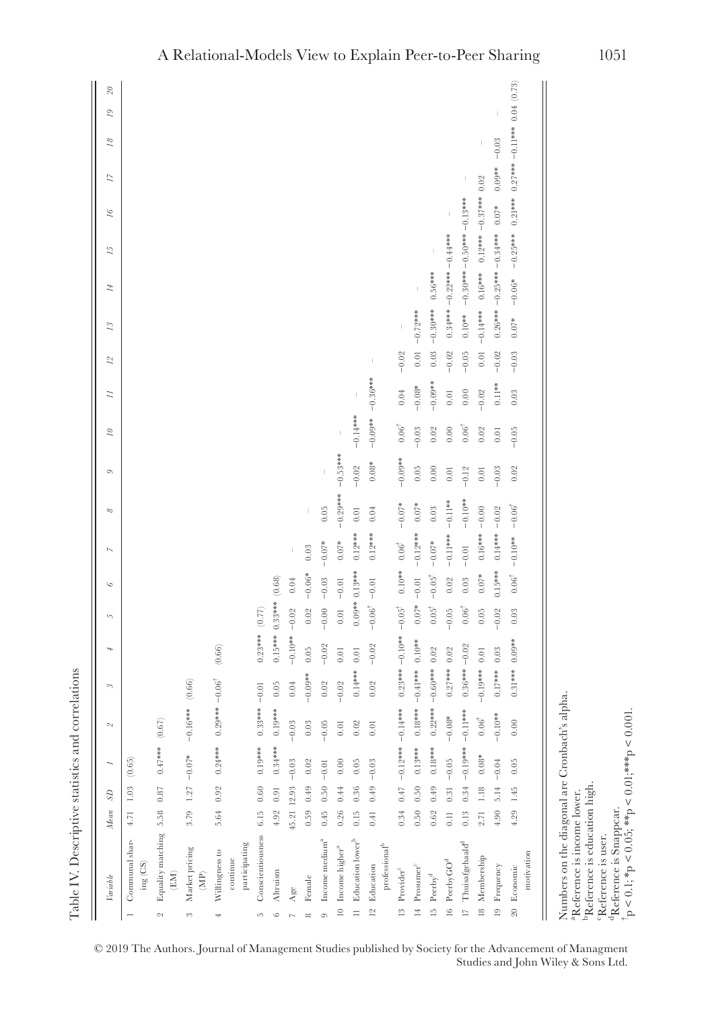|                | Variable                                                                                                                                | Mean             | $\mathcal{S}$ |                                     |                 | $\infty$                           | 4                  | 5                 | $\circ$                    | $\overline{\phantom{a}}$ | $\infty$          | Ó          | $\tilde{z}$      | $\overline{z}$ | $^{12}$  | 13         | 14                           | 15         | $\mathcal{L}$   | 17                                   | $^{18}$ | 29 | $2\theta$ |
|----------------|-----------------------------------------------------------------------------------------------------------------------------------------|------------------|---------------|-------------------------------------|-----------------|------------------------------------|--------------------|-------------------|----------------------------|--------------------------|-------------------|------------|------------------|----------------|----------|------------|------------------------------|------------|-----------------|--------------------------------------|---------|----|-----------|
|                | Communal shar-<br>$\text{ing}\left(\text{CS}\right)$                                                                                    | 4.71 1.03        |               | (0.65)                              |                 |                                    |                    |                   |                            |                          |                   |            |                  |                |          |            |                              |            |                 |                                      |         |    |           |
| $\sim$         | Equality matching 5.58<br>$\left( \mathrm{EM}\right)$                                                                                   |                  | $\!0.87\!$    | $0.47***$ (0.67)                    |                 |                                    |                    |                   |                            |                          |                   |            |                  |                |          |            |                              |            |                 |                                      |         |    |           |
| 8              | Market pricing<br>(MP)                                                                                                                  | 3.79             | 1.27          | $-0.07*$                            | $-0.16***$      | (0.66)                             |                    |                   |                            |                          |                   |            |                  |                |          |            |                              |            |                 |                                      |         |    |           |
| 4              | participating<br>Willingness to<br>continue                                                                                             | 5.64 0.92        |               | $0.24***$                           | $0.29***-0.06$  |                                    | (0.66)             |                   |                            |                          |                   |            |                  |                |          |            |                              |            |                 |                                      |         |    |           |
| ı0             | Conscientiousness                                                                                                                       | 6.15             | $0.60\,$      | $0.19***$                           | $0.33*** -0.01$ |                                    | $0.23***$ (0.77)   |                   |                            |                          |                   |            |                  |                |          |            |                              |            |                 |                                      |         |    |           |
| $\circ$        | Altruism                                                                                                                                | 4.92             | 0.91          | $0.34***$                           | $0.19***$       | $0.05\,$                           | $0.15***$ 0.33 *** |                   | (0.68)                     |                          |                   |            |                  |                |          |            |                              |            |                 |                                      |         |    |           |
| $\sim$         | Age                                                                                                                                     | 45.21 12.93      |               | $-0.03$                             | $-0.03$         | $0.04\,$                           | $-0.10**$          | $-0.02$           | $0.04\,$                   |                          |                   |            |                  |                |          |            |                              |            |                 |                                      |         |    |           |
| $\infty$       | Female                                                                                                                                  | 0.59             | 0.49          | 0.02                                | $\rm 0.03$      | $-0.09**$                          | 0.05               | $0.02\,$          | $-0.06*$                   | $0.03\,$                 | $\mid$            |            |                  |                |          |            |                              |            |                 |                                      |         |    |           |
| $\circ$        | Income medium <sup>a</sup>                                                                                                              | 0.45             | 0.50          | $-0.01$                             | $-0.05$         | $0.02\,$                           | $-0.02$            | $-0.00$           | $-0.03$                    | $-0.07*$                 | 0.05              |            |                  |                |          |            |                              |            |                 |                                      |         |    |           |
| $\approx$      | Income higher $^a$                                                                                                                      | 0.26             | $0.44\,$      | $0.00$                              | $0.01\,$        | $-0.02$                            | $0.01$             | $0.01\,$          | $-0.01$                    | $0.07*$                  | $-0.29***$        | $-0.53***$ |                  |                |          |            |                              |            |                 |                                      |         |    |           |
|                | 11 Education lower <sup>b</sup>                                                                                                         | 0.15             | $\,0.36$      | 0.05                                | $0.02\,$        | $0.14***$                          | $0.01\,$           | $0.09**0.13***$   |                            | $0.12***$                | $0.01\,$          | $-0.02$    | $-0.14***$       |                |          |            |                              |            |                 |                                      |         |    |           |
| $\overline{a}$ | Education                                                                                                                               | 0.41             | 0.49          | $-0.03$                             | $0.01\,$        | $0.02\,$                           | $-0.02$            | $-0.06^{\dagger}$ | $-0.01$                    | $0.12***$                | $0.04\,$          | $0.08*$    | $-0.09**$        | $-0.36***$     |          |            |                              |            |                 |                                      |         |    |           |
|                | $\operatorname{professian}{}^{b}$                                                                                                       |                  |               |                                     |                 |                                    |                    |                   |                            |                          |                   |            |                  |                |          |            |                              |            |                 |                                      |         |    |           |
| $\frac{13}{2}$ | Provider <sup>c</sup>                                                                                                                   |                  |               | $0.34$ $0.47$ $-0.12***$ $-0.14***$ |                 | $0.23***-0.10**-0.05$ <sup>†</sup> |                    |                   | $0.10***$ $0.06^{\dagger}$ |                          | $-0.07*$          | $-0.09**$  | $0.06^{\dagger}$ | 0.04           | $-0.02$  |            |                              |            |                 |                                      |         |    |           |
|                | 14 Prosumer <sup>c</sup>                                                                                                                | 0.50             | 0.50          | $0.13***$                           | $0.18***$       | $-0.41$ *** $0.10$                 |                    | $0.07*$           | $-0.01$                    | $-0.12***$               | $0.07*$           | $0.05$     | $-0.03$          | $-0.08*$       | $0.01\,$ | $-0.72***$ |                              |            |                 |                                      |         |    |           |
|                | 15 Peerby <sup>d</sup>                                                                                                                  | $0.62\,$         | 0.49          | $0.18***$                           | $0.22***$       | $-0.60***$                         | $0.02\,$           | $0.05^{\dagger}$  | $-0.05^{\dagger}$          | $-0.07*$                 | $0.03\,$          | 0.00       | 0.02             | $-0.09**$      | $0.03\,$ | $-0.30***$ | $0.56***$                    |            |                 |                                      |         |    |           |
| $\frac{16}{2}$ | $\ensuremath{\mathop{\mathrm{Perb}}\nolimits} y \ensuremath{\mathop{\mathrm{GO}}\nolimits}^{\ensuremath{\mathop{\mathrm{d}}\nolimits}}$ | $\overline{0}$ . | 0.31          | $-0.05$                             | $-0.08*$        | $0.27***$ 0.02                     |                    | $-0.05$           | $0.02\,$                   | $-0.11***$               | $-0.11**$         | $0.01$     | $0.00$           | $_{\rm 0.01}$  | $-0.02$  |            | $0.34***0.0.22***0.4***$     |            |                 |                                      |         |    |           |
|                | 17 Thuisafgehaald <sup>d</sup>                                                                                                          | 0.13             | $0.34\,$      |                                     |                 | $0.36***-0.02$                     |                    | $0.06^{\dagger}$  | $\,0.03$                   | $-0.01$                  | $-0.10**$         | $-0.12$    | $0.06^{\dagger}$ | $_{0.00}$      | $-0.05$  | $0.10***$  | $-0.30***0.50***0.0.13***$   |            |                 |                                      |         |    |           |
|                | 18 Membership                                                                                                                           | 2.71             | 1.18          | $0.08\mathrm{*}$                    | $0.06^\dagger$  | $-0.19***$                         | $0.01\,$           | 0.05              | $0.07*$                    | $0.16***$                | $-0.00$           | $0.01$     | 0.02             | $-0.02$        | $0.01\,$ | $-0.14***$ | $0.16***$                    | $0.12***$  | $-0.37***$ 0.02 |                                      |         |    |           |
|                | 19 Frequency                                                                                                                            | 4.90             | 5.14          | $-0.04$                             | $-0.10**$       | $0.17***$ 0.03                     |                    | $-0.02$           | $0.15***$                  | $0.14***$                | $-0.02$           | $-0.03$    | $0.01\,$         | $0.11**$       | $-0.02$  |            | $0.26***$ - 0.25*** -0.34*** |            | $0.07*$         | $0.09** - 0.03$                      |         |    |           |
|                | 20 Economic                                                                                                                             | 4.29             | 1.45          | 0.05                                | 0.00            | $0.31***$                          | $0.09**$           | 0.03              | $0.06^\dagger$             | $-0.10***$               | $-0.06^{\dagger}$ | 0.02       | $-0.05$          | 0.03           | $-0.03$  | $0.07*$    | $-0.06*$                     | $-0.25***$ | $0.21***$       | $0.27***$ $-0.11***$ $0.04$ $(0.73)$ |         |    |           |
|                | motivation                                                                                                                              |                  |               |                                     |                 |                                    |                    |                   |                            |                          |                   |            |                  |                |          |            |                              |            |                 |                                      |         |    |           |
|                | Numbers on the diagonal are Cronbach's<br><sup>a</sup> Reference is income lower.<br><sup>b</sup> Reference is education high.          |                  |               |                                     | alpha.          |                                    |                    |                   |                            |                          |                   |            |                  |                |          |            |                              |            |                 |                                      |         |    |           |
|                |                                                                                                                                         |                  |               |                                     |                 |                                    |                    |                   |                            |                          |                   |            |                  |                |          |            |                              |            |                 |                                      |         |    |           |

© 2019 The Authors. Journal of Management Studies published by Society for the Advancement of Managment Studies and John Wiley & Sons Ltd.

cReference is user. dReference is Snappcar.

† p

< 0.1; \*p < 0.05; \*\*p < 0.01;\*\*\*p < 0.001.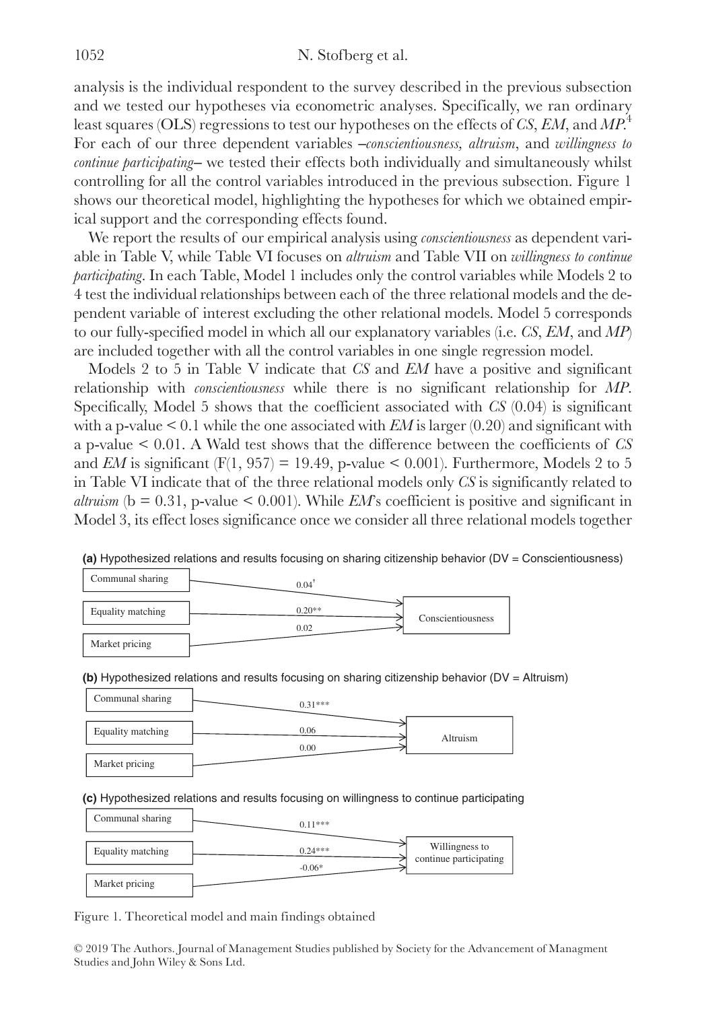analysis is the individual respondent to the survey described in the previous subsection and we tested our hypotheses via econometric analyses. Specifically, we ran ordinary least squares (OLS) regressions to test our hypotheses on the effects of *CS*, *EM*, and *MP*. 4 For each of our three dependent variables -*conscientiousness, altruism*, and *willingness to continue participating*— we tested their effects both individually and simultaneously whilst controlling for all the control variables introduced in the previous subsection. Figure 1 shows our theoretical model, highlighting the hypotheses for which we obtained empirical support and the corresponding effects found.

We report the results of our empirical analysis using *conscientiousness* as dependent variable in Table V, while Table VI focuses on *altruism* and Table VII on *willingness to continue participating*. In each Table, Model 1 includes only the control variables while Models 2 to 4 test the individual relationships between each of the three relational models and the dependent variable of interest excluding the other relational models. Model 5 corresponds to our fully-specified model in which all our explanatory variables (i.e. *CS*, *EM*, and *MP*) are included together with all the control variables in one single regression model.

Models 2 to 5 in Table V indicate that *CS* and *EM* have a positive and significant relationship with *conscientiousness* while there is no significant relationship for *MP*. Specifically, Model 5 shows that the coefficient associated with *CS* (0.04) is significant with a p-value  $\leq 0.1$  while the one associated with *EM* is larger (0.20) and significant with a p-value < 0.01. A Wald test shows that the difference between the coefficients of *CS* and *EM* is significant (F(1, 957) = 19.49, p-value  $\leq$  0.001). Furthermore, Models 2 to 5 in Table VI indicate that of the three relational models only *CS* is significantly related to *altruism* ( $b = 0.31$ , p-value  $\leq 0.001$ ). While *EM*'s coefficient is positive and significant in Model 3, its effect loses significance once we consider all three relational models together

| Communal sharing  | 0.04     |                   |
|-------------------|----------|-------------------|
| Equality matching | $0.20**$ | Conscientiousness |
| Market pricing    | 0.02     |                   |

**(a)** Hypothesized relations and results focusing on sharing citizenship behavior (DV = Conscientiousness)

**(b)** Hypothesized relations and results focusing on sharing citizenship behavior (DV = Altruism)

| Communal sharing  | $0.31***$ |          |
|-------------------|-----------|----------|
| Equality matching | 0.06      | Altruism |
| Market pricing    | 0.00      |          |

**(c)** Hypothesized relations and results focusing on willingness to continue participating

| Communal sharing  | $0.11***$ |                                          |
|-------------------|-----------|------------------------------------------|
| Equality matching | $0.24***$ | Willingness to<br>continue participating |
| Market pricing    | $-0.06*$  |                                          |

Figure 1. Theoretical model and main findings obtained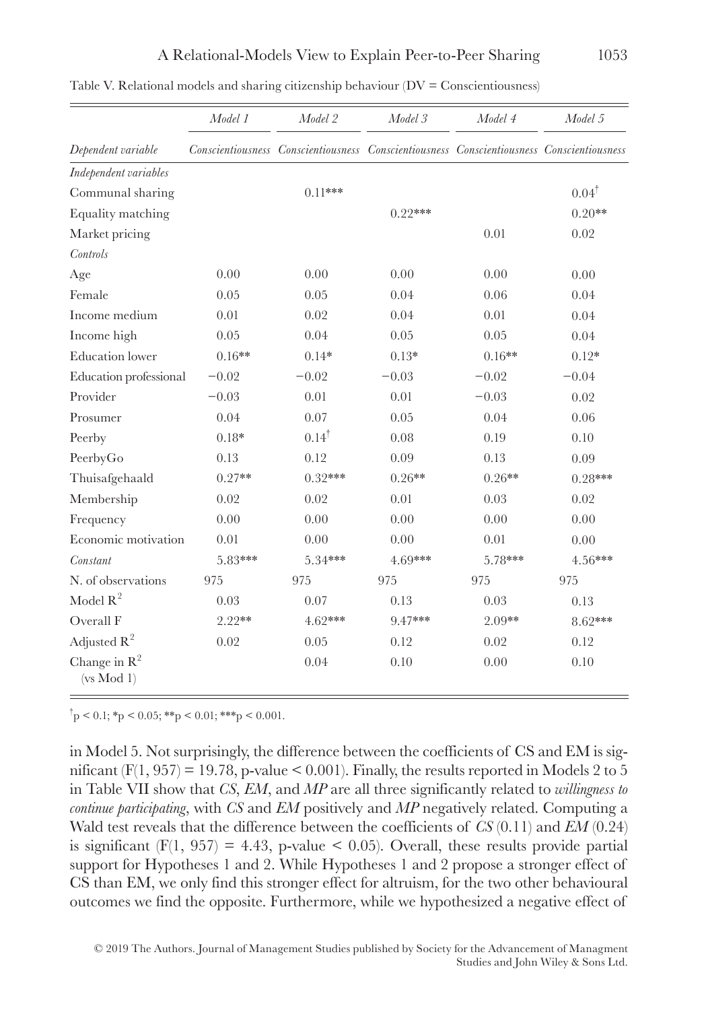|                                        | Model 1  | Model 2                                                                                   | Model 3   | Model 4  | Model 5          |
|----------------------------------------|----------|-------------------------------------------------------------------------------------------|-----------|----------|------------------|
| Dependent variable                     |          | Conscientiousness Conscientiousness Conscientiousness Conscientiousness Conscientiousness |           |          |                  |
| Independent variables                  |          |                                                                                           |           |          |                  |
| Communal sharing                       |          | $0.11***$                                                                                 |           |          | $0.04^{\dagger}$ |
| Equality matching                      |          |                                                                                           | $0.22***$ |          | $0.20**$         |
| Market pricing                         |          |                                                                                           |           | 0.01     | 0.02             |
| Controls                               |          |                                                                                           |           |          |                  |
| Age                                    | 0.00     | 0.00                                                                                      | 0.00      | 0.00     | 0.00             |
| Female                                 | 0.05     | 0.05                                                                                      | 0.04      | 0.06     | 0.04             |
| Income medium                          | 0.01     | 0.02                                                                                      | 0.04      | 0.01     | 0.04             |
| Income high                            | 0.05     | 0.04                                                                                      | 0.05      | 0.05     | 0.04             |
| <b>Education</b> lower                 | $0.16**$ | $0.14*$                                                                                   | $0.13*$   | $0.16**$ | $0.12*$          |
| Education professional                 | $-0.02$  | $-0.02$                                                                                   | $-0.03$   | $-0.02$  | $-0.04$          |
| Provider                               | $-0.03$  | 0.01                                                                                      | 0.01      | $-0.03$  | 0.02             |
| Prosumer                               | 0.04     | 0.07                                                                                      | 0.05      | 0.04     | 0.06             |
| Peerby                                 | $0.18*$  | $0.14^{\dagger}$                                                                          | 0.08      | 0.19     | 0.10             |
| PeerbyGo                               | 0.13     | 0.12                                                                                      | 0.09      | 0.13     | 0.09             |
| Thuisafgehaald                         | $0.27**$ | $0.32***$                                                                                 | $0.26**$  | $0.26**$ | $0.28***$        |
| Membership                             | 0.02     | 0.02                                                                                      | 0.01      | 0.03     | 0.02             |
| Frequency                              | 0.00     | 0.00                                                                                      | 0.00      | 0.00     | 0.00             |
| Economic motivation                    | 0.01     | 0.00                                                                                      | 0.00      | 0.01     | 0.00             |
| Constant                               | 5.83***  | 5.34***                                                                                   | 4.69***   | 5.78***  | $4.56***$        |
| N. of observations                     | 975      | 975                                                                                       | 975       | 975      | 975              |
| Model $\mathbb{R}^2$                   | 0.03     | 0.07                                                                                      | 0.13      | 0.03     | 0.13             |
| Overall F                              | $2.22**$ | 4.62***                                                                                   | 9.47***   | $2.09**$ | 8.62***          |
| Adjusted $R^2$                         | 0.02     | 0.05                                                                                      | 0.12      | 0.02     | 0.12             |
| Change in $\mathbb{R}^2$<br>(vs Mod 1) |          | 0.04                                                                                      | 0.10      | 0.00     | 0.10             |

Table V. Relational models and sharing citizenship behaviour  $(DV = Consectionsness)$ 

 $\phi^{\dagger}$  p < 0.1; \*p < 0.05; \*\*p < 0.01; \*\*\*p < 0.001.

in Model 5. Not surprisingly, the difference between the coefficients of CS and EM is significant  $(F(1, 957) = 19.78$ , p-value < 0.001). Finally, the results reported in Models 2 to 5 in Table VII show that *CS*, *EM*, and *MP* are all three significantly related to *willingness to continue participating*, with *CS* and *EM* positively and *MP* negatively related. Computing a Wald test reveals that the difference between the coefficients of *CS* (0.11) and *EM* (0.24) is significant  $(F(1, 957) = 4.43$ , p-value < 0.05). Overall, these results provide partial support for Hypotheses 1 and 2. While Hypotheses 1 and 2 propose a stronger effect of CS than EM, we only find this stronger effect for altruism, for the two other behavioural outcomes we find the opposite. Furthermore, while we hypothesized a negative effect of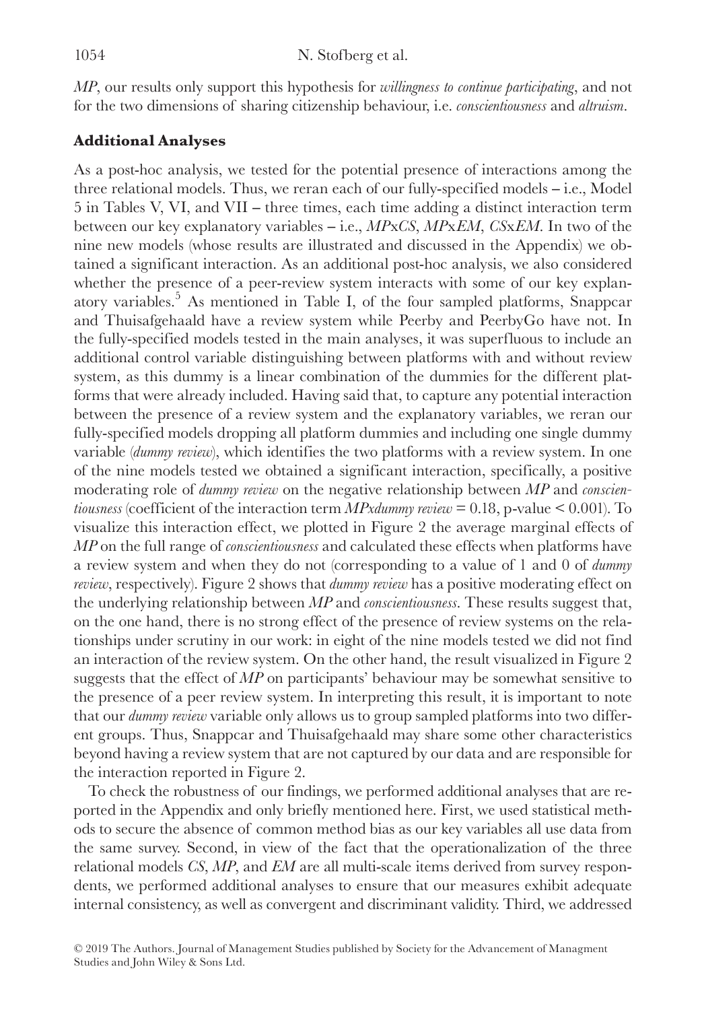*MP*, our results only support this hypothesis for *willingness to continue participating*, and not for the two dimensions of sharing citizenship behaviour, i.e. *conscientiousness* and *altruism*.

# **Additional Analyses**

As a post-hoc analysis, we tested for the potential presence of interactions among the three relational models. Thus, we reran each of our fully-specified models ‒ i.e., Model  $5$  in Tables V, VI, and VII – three times, each time adding a distinct interaction term between our key explanatory variables ‒ i.e., *MP*x*CS*, *MP*x*EM*, *CS*x*EM*. In two of the nine new models (whose results are illustrated and discussed in the Appendix) we obtained a significant interaction. As an additional post-hoc analysis, we also considered whether the presence of a peer-review system interacts with some of our key explanatory variables.<sup>5</sup> As mentioned in Table I, of the four sampled platforms, Snappcar and Thuisafgehaald have a review system while Peerby and PeerbyGo have not. In the fully-specified models tested in the main analyses, it was superfluous to include an additional control variable distinguishing between platforms with and without review system, as this dummy is a linear combination of the dummies for the different platforms that were already included. Having said that, to capture any potential interaction between the presence of a review system and the explanatory variables, we reran our fully-specified models dropping all platform dummies and including one single dummy variable (*dummy review*), which identifies the two platforms with a review system. In one of the nine models tested we obtained a significant interaction, specifically, a positive moderating role of *dummy review* on the negative relationship between *MP* and *conscientiousness* (coefficient of the interaction term *MPxdummy review* = 0.18, p-value < 0.001). To visualize this interaction effect, we plotted in Figure 2 the average marginal effects of *MP* on the full range of *conscientiousness* and calculated these effects when platforms have a review system and when they do not (corresponding to a value of 1 and 0 of *dummy review*, respectively). Figure 2 shows that *dummy review* has a positive moderating effect on the underlying relationship between *MP* and *conscientiousness*. These results suggest that, on the one hand, there is no strong effect of the presence of review systems on the relationships under scrutiny in our work: in eight of the nine models tested we did not find an interaction of the review system. On the other hand, the result visualized in Figure 2 suggests that the effect of *MP* on participants' behaviour may be somewhat sensitive to the presence of a peer review system. In interpreting this result, it is important to note that our *dummy review* variable only allows us to group sampled platforms into two different groups. Thus, Snappcar and Thuisafgehaald may share some other characteristics beyond having a review system that are not captured by our data and are responsible for the interaction reported in Figure 2.

To check the robustness of our findings, we performed additional analyses that are reported in the Appendix and only briefly mentioned here. First, we used statistical methods to secure the absence of common method bias as our key variables all use data from the same survey. Second, in view of the fact that the operationalization of the three relational models *CS*, *MP*, and *EM* are all multi-scale items derived from survey respondents, we performed additional analyses to ensure that our measures exhibit adequate internal consistency, as well as convergent and discriminant validity. Third, we addressed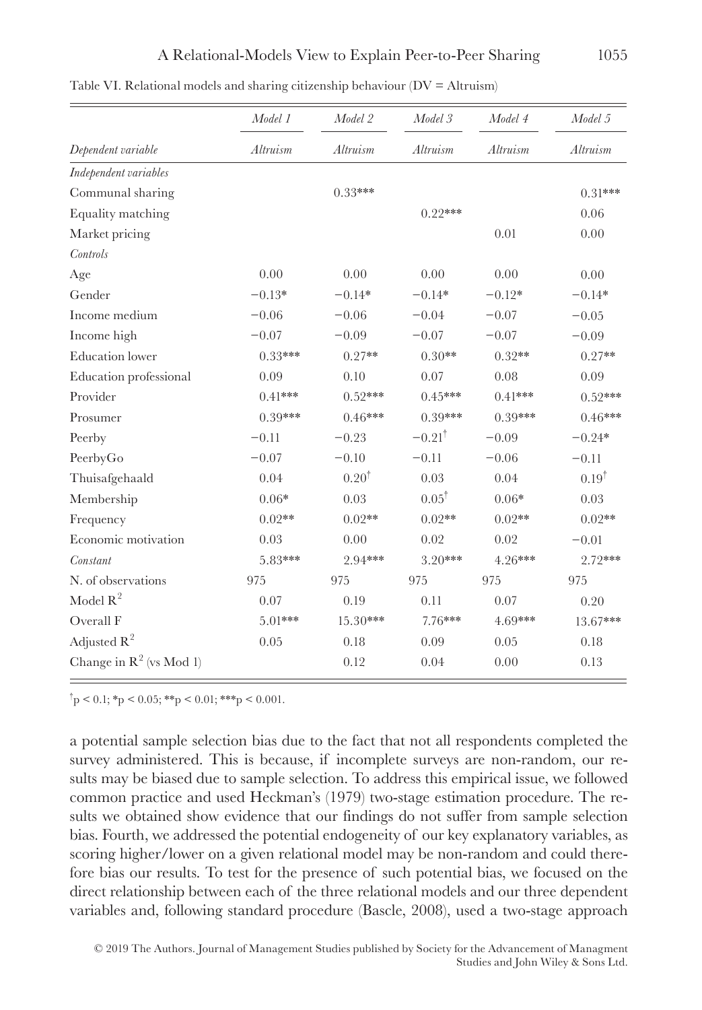|                            | Model 1   | Model 2          | Model 3              | Model 4   | Model 5          |
|----------------------------|-----------|------------------|----------------------|-----------|------------------|
| Dependent variable         | Altruism  | Altruism         | Altruism             | Altruism  | Altruism         |
| Independent variables      |           |                  |                      |           |                  |
| Communal sharing           |           | $0.33***$        |                      |           | $0.31***$        |
| Equality matching          |           |                  | $0.22***$            |           | 0.06             |
| Market pricing             |           |                  |                      | 0.01      | 0.00             |
| Controls                   |           |                  |                      |           |                  |
| Age                        | 0.00      | 0.00             | 0.00                 | 0.00      | 0.00             |
| Gender                     | $-0.13*$  | $-0.14*$         | $-0.14*$             | $-0.12*$  | $-0.14*$         |
| Income medium              | $-0.06$   | $-0.06$          | $-0.04$              | $-0.07$   | $-0.05$          |
| Income high                | $-0.07$   | $-0.09$          | $-0.07$              | $-0.07$   | $-0.09$          |
| <b>Education</b> lower     | $0.33***$ | $0.27**$         | $0.30**$             | $0.32**$  | $0.27**$         |
| Education professional     | 0.09      | 0.10             | 0.07                 | 0.08      | 0.09             |
| Provider                   | $0.41***$ | $0.52***$        | $0.45***$            | $0.41***$ | $0.52***$        |
| Prosumer                   | $0.39***$ | $0.46***$        | $0.39***$            | $0.39***$ | $0.46***$        |
| Peerby                     | $-0.11$   | $-0.23$          | $-0.21$ <sup>†</sup> | $-0.09$   | $-0.24*$         |
| PeerbyGo                   | $-0.07$   | $-0.10$          | $-0.11$              | $-0.06$   | $-0.11$          |
| Thuisafgehaald             | 0.04      | $0.20^{\dagger}$ | 0.03                 | 0.04      | $0.19^{\dagger}$ |
| Membership                 | $0.06*$   | 0.03             | $0.05^{\dagger}$     | $0.06*$   | 0.03             |
| Frequency                  | $0.02**$  | $0.02**$         | $0.02**$             | $0.02**$  | $0.02**$         |
| Economic motivation        | 0.03      | 0.00             | 0.02                 | 0.02      | $-0.01$          |
| Constant                   | 5.83***   | 2.94***          | $3.20***$            | 4.26***   | 2.72***          |
| N. of observations         | 975       | 975              | 975                  | 975       | 975              |
| Model $R^2$                | 0.07      | 0.19             | 0.11                 | 0.07      | 0.20             |
| Overall F                  | 5.01***   | $15.30***$       | 7.76***              | 4.69***   | 13.67***         |
| Adjusted $\mathbb{R}^2$    | 0.05      | 0.18             | 0.09                 | 0.05      | 0.18             |
| Change in $R^2$ (vs Mod 1) |           | 0.12             | 0.04                 | 0.00      | 0.13             |

Table VI. Relational models and sharing citizenship behaviour  $(DV = Altruism)$ 

 $\phi^{\dagger}$  p < 0.1; \*p < 0.05; \*\*p < 0.01; \*\*\*p < 0.001.

a potential sample selection bias due to the fact that not all respondents completed the survey administered. This is because, if incomplete surveys are non-random, our results may be biased due to sample selection. To address this empirical issue, we followed common practice and used Heckman's (1979) two-stage estimation procedure. The results we obtained show evidence that our findings do not suffer from sample selection bias. Fourth, we addressed the potential endogeneity of our key explanatory variables, as scoring higher/lower on a given relational model may be non-random and could therefore bias our results. To test for the presence of such potential bias, we focused on the direct relationship between each of the three relational models and our three dependent variables and, following standard procedure (Bascle, 2008), used a two-stage approach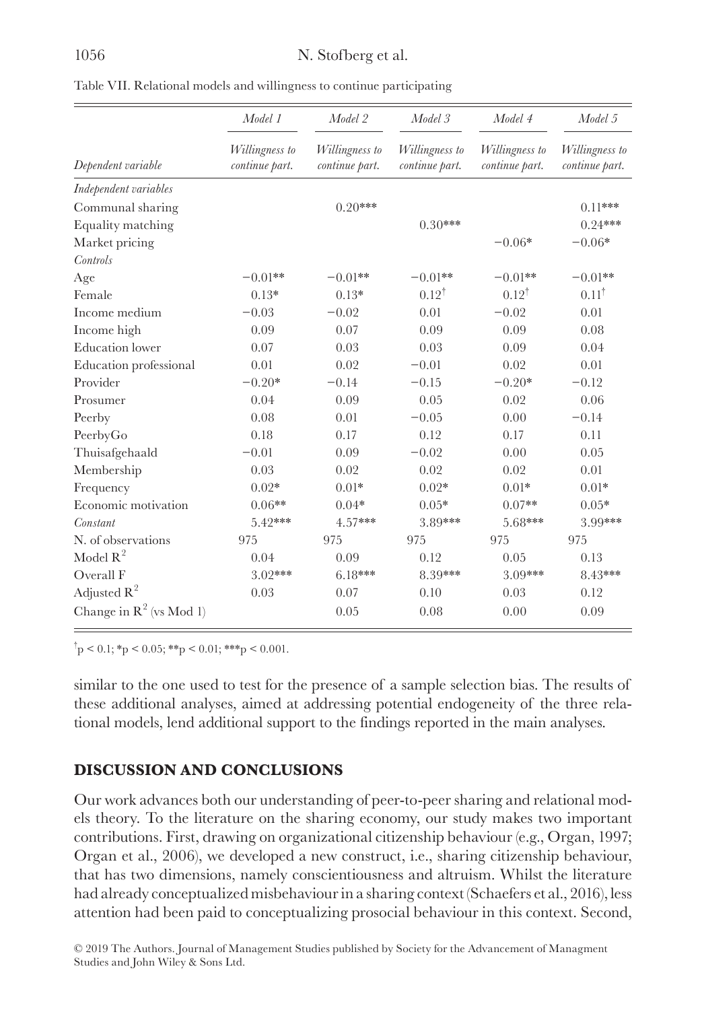| Table VII. Relational models and willingness to continue participating |  |  |
|------------------------------------------------------------------------|--|--|

|                            | Model 1                          | Model 2                          | Model 3                          | Model 4                          | Model 5                          |
|----------------------------|----------------------------------|----------------------------------|----------------------------------|----------------------------------|----------------------------------|
| Dependent variable         | Willingness to<br>continue part. | Willingness to<br>continue part. | Willingness to<br>continue part. | Willingness to<br>continue part. | Willingness to<br>continue part. |
| Independent variables      |                                  |                                  |                                  |                                  |                                  |
| Communal sharing           |                                  | $0.20***$                        |                                  |                                  | $0.11***$                        |
| Equality matching          |                                  |                                  | $0.30***$                        |                                  | $0.24***$                        |
| Market pricing             |                                  |                                  |                                  | $-0.06*$                         | $-0.06*$                         |
| Controls                   |                                  |                                  |                                  |                                  |                                  |
| Age                        | $-0.01**$                        | $-0.01**$                        | $-0.01**$                        | $-0.01**$                        | $-0.01**$                        |
| Female                     | $0.13*$                          | $0.13*$                          | $0.12^{\dagger}$                 | $0.12^{\dagger}$                 | $0.11^{\dagger}$                 |
| Income medium              | $-0.03$                          | $-0.02$                          | 0.01                             | $-0.02$                          | 0.01                             |
| Income high                | 0.09                             | 0.07                             | 0.09                             | 0.09                             | 0.08                             |
| <b>Education</b> lower     | 0.07                             | 0.03                             | 0.03                             | 0.09                             | 0.04                             |
| Education professional     | 0.01                             | 0.02                             | $-0.01$                          | 0.02                             | 0.01                             |
| Provider                   | $-0.20*$                         | $-0.14$                          | $-0.15$                          | $-0.20*$                         | $-0.12$                          |
| Prosumer                   | 0.04                             | 0.09                             | 0.05                             | 0.02                             | 0.06                             |
| Peerby                     | 0.08                             | 0.01                             | $-0.05$                          | 0.00                             | $-0.14$                          |
| PeerbyGo                   | 0.18                             | 0.17                             | 0.12                             | 0.17                             | 0.11                             |
| Thuisafgehaald             | $-0.01$                          | 0.09                             | $-0.02$                          | 0.00                             | 0.05                             |
| Membership                 | 0.03                             | 0.02                             | 0.02                             | 0.02                             | 0.01                             |
| Frequency                  | $0.02*$                          | $0.01*$                          | $0.02*$                          | $0.01*$                          | $0.01*$                          |
| Economic motivation        | $0.06**$                         | $0.04*$                          | $0.05*$                          | $0.07**$                         | $0.05*$                          |
| Constant                   | 5.42***                          | $4.57***$                        | 3.89***                          | 5.68***                          | 3.99***                          |
| N. of observations         | 975                              | 975                              | 975                              | 975                              | 975                              |
| Model $R^2$                | 0.04                             | 0.09                             | 0.12                             | 0.05                             | 0.13                             |
| Overall F                  | $3.02***$                        | $6.18***$                        | 8.39***                          | 3.09***                          | 8.43***                          |
| Adjusted $R^2$             | 0.03                             | 0.07                             | 0.10                             | 0.03                             | 0.12                             |
| Change in $R^2$ (vs Mod 1) |                                  | 0.05                             | 0.08                             | 0.00                             | 0.09                             |

 $\phi$  +  $\phi$  = 0.1; \* p < 0.05; \* \* p < 0.01; \* \* \* p < 0.001.

similar to the one used to test for the presence of a sample selection bias. The results of these additional analyses, aimed at addressing potential endogeneity of the three relational models, lend additional support to the findings reported in the main analyses.

# **DISCUSSION AND CONCLUSIONS**

Our work advances both our understanding of peer-to-peer sharing and relational models theory. To the literature on the sharing economy, our study makes two important contributions. First, drawing on organizational citizenship behaviour (e.g., Organ, 1997; Organ et al., 2006), we developed a new construct, i.e., sharing citizenship behaviour, that has two dimensions, namely conscientiousness and altruism. Whilst the literature had already conceptualized misbehaviour in a sharing context (Schaefers et al., 2016), less attention had been paid to conceptualizing prosocial behaviour in this context. Second,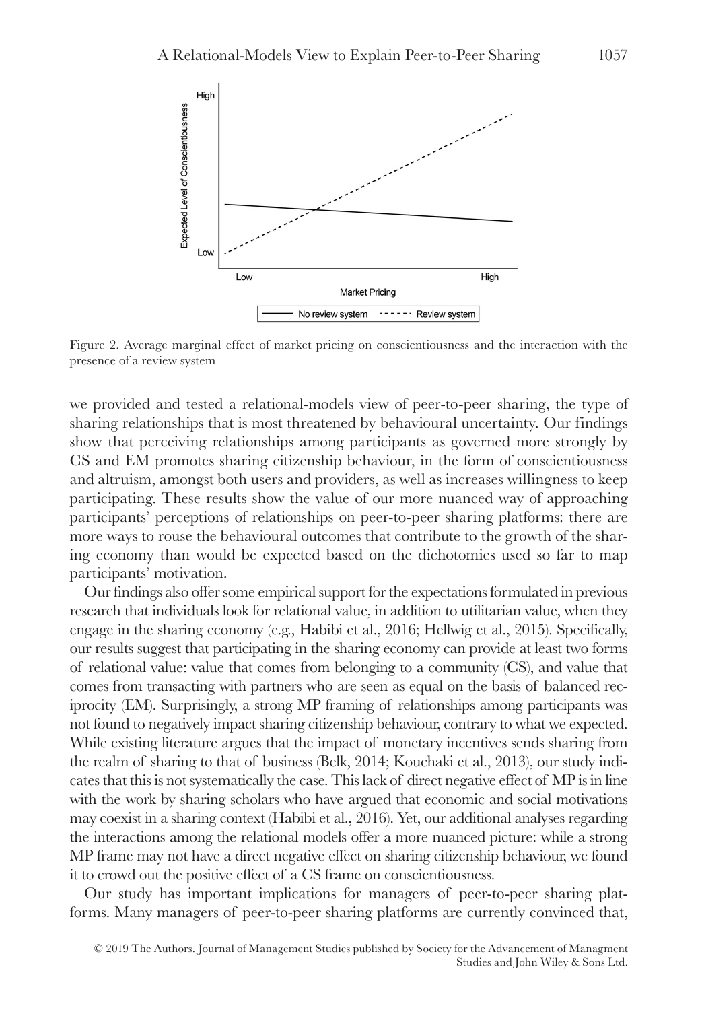

Figure 2. Average marginal effect of market pricing on conscientiousness and the interaction with the presence of a review system

we provided and tested a relational-models view of peer-to-peer sharing, the type of sharing relationships that is most threatened by behavioural uncertainty. Our findings show that perceiving relationships among participants as governed more strongly by CS and EM promotes sharing citizenship behaviour, in the form of conscientiousness and altruism, amongst both users and providers, as well as increases willingness to keep participating. These results show the value of our more nuanced way of approaching participants' perceptions of relationships on peer-to-peer sharing platforms: there are more ways to rouse the behavioural outcomes that contribute to the growth of the sharing economy than would be expected based on the dichotomies used so far to map participants' motivation.

Our findings also offer some empirical support for the expectations formulated in previous research that individuals look for relational value, in addition to utilitarian value, when they engage in the sharing economy (e.g., Habibi et al., 2016; Hellwig et al., 2015). Specifically, our results suggest that participating in the sharing economy can provide at least two forms of relational value: value that comes from belonging to a community (CS), and value that comes from transacting with partners who are seen as equal on the basis of balanced reciprocity (EM). Surprisingly, a strong MP framing of relationships among participants was not found to negatively impact sharing citizenship behaviour, contrary to what we expected. While existing literature argues that the impact of monetary incentives sends sharing from the realm of sharing to that of business (Belk, 2014; Kouchaki et al., 2013), our study indicates that this is not systematically the case. This lack of direct negative effect of MP is in line with the work by sharing scholars who have argued that economic and social motivations may coexist in a sharing context (Habibi et al., 2016). Yet, our additional analyses regarding the interactions among the relational models offer a more nuanced picture: while a strong MP frame may not have a direct negative effect on sharing citizenship behaviour, we found it to crowd out the positive effect of a CS frame on conscientiousness.

Our study has important implications for managers of peer-to-peer sharing platforms. Many managers of peer-to-peer sharing platforms are currently convinced that,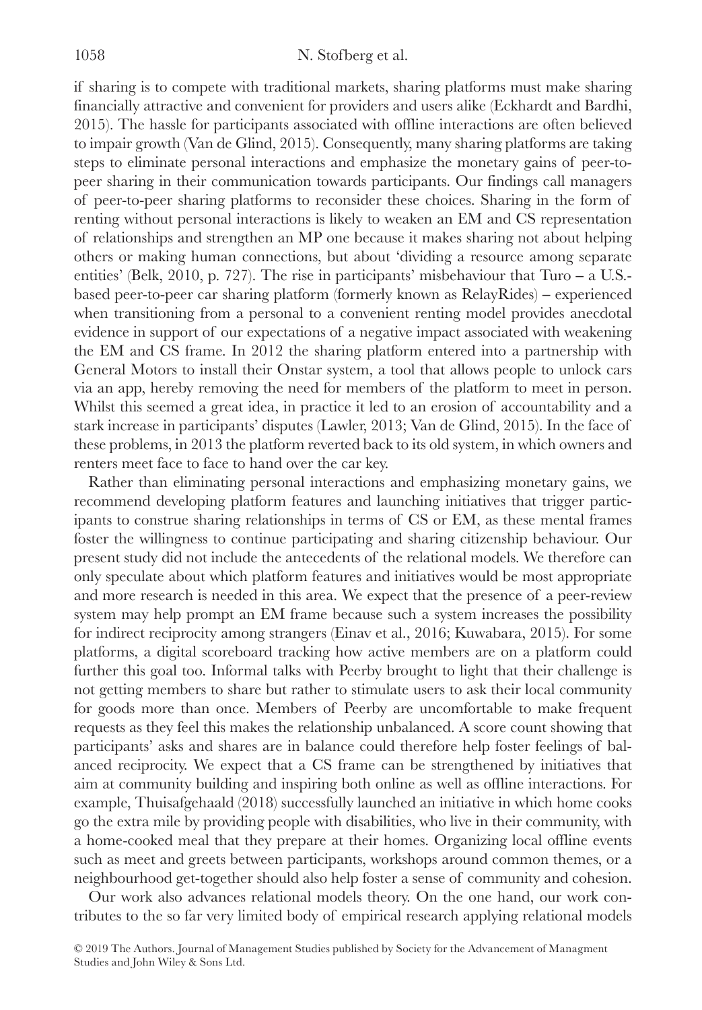if sharing is to compete with traditional markets, sharing platforms must make sharing financially attractive and convenient for providers and users alike (Eckhardt and Bardhi, 2015). The hassle for participants associated with offline interactions are often believed to impair growth (Van de Glind, 2015). Consequently, many sharing platforms are taking steps to eliminate personal interactions and emphasize the monetary gains of peer-topeer sharing in their communication towards participants. Our findings call managers of peer-to-peer sharing platforms to reconsider these choices. Sharing in the form of renting without personal interactions is likely to weaken an EM and CS representation of relationships and strengthen an MP one because it makes sharing not about helping others or making human connections, but about 'dividing a resource among separate entities' (Belk, 2010, p. 727). The rise in participants' misbehaviour that Turo  $- a$  U.S.based peer-to-peer car sharing platform (formerly known as  $RelavRides$ ) – experienced when transitioning from a personal to a convenient renting model provides anecdotal evidence in support of our expectations of a negative impact associated with weakening the EM and CS frame. In 2012 the sharing platform entered into a partnership with General Motors to install their Onstar system, a tool that allows people to unlock cars via an app, hereby removing the need for members of the platform to meet in person. Whilst this seemed a great idea, in practice it led to an erosion of accountability and a stark increase in participants' disputes (Lawler, 2013; Van de Glind, 2015). In the face of these problems, in 2013 the platform reverted back to its old system, in which owners and renters meet face to face to hand over the car key.

Rather than eliminating personal interactions and emphasizing monetary gains, we recommend developing platform features and launching initiatives that trigger participants to construe sharing relationships in terms of CS or EM, as these mental frames foster the willingness to continue participating and sharing citizenship behaviour. Our present study did not include the antecedents of the relational models. We therefore can only speculate about which platform features and initiatives would be most appropriate and more research is needed in this area. We expect that the presence of a peer-review system may help prompt an EM frame because such a system increases the possibility for indirect reciprocity among strangers (Einav et al., 2016; Kuwabara, 2015). For some platforms, a digital scoreboard tracking how active members are on a platform could further this goal too. Informal talks with Peerby brought to light that their challenge is not getting members to share but rather to stimulate users to ask their local community for goods more than once. Members of Peerby are uncomfortable to make frequent requests as they feel this makes the relationship unbalanced. A score count showing that participants' asks and shares are in balance could therefore help foster feelings of balanced reciprocity. We expect that a CS frame can be strengthened by initiatives that aim at community building and inspiring both online as well as offline interactions. For example, Thuisafgehaald (2018) successfully launched an initiative in which home cooks go the extra mile by providing people with disabilities, who live in their community, with a home-cooked meal that they prepare at their homes. Organizing local offline events such as meet and greets between participants, workshops around common themes, or a neighbourhood get-together should also help foster a sense of community and cohesion.

Our work also advances relational models theory. On the one hand, our work contributes to the so far very limited body of empirical research applying relational models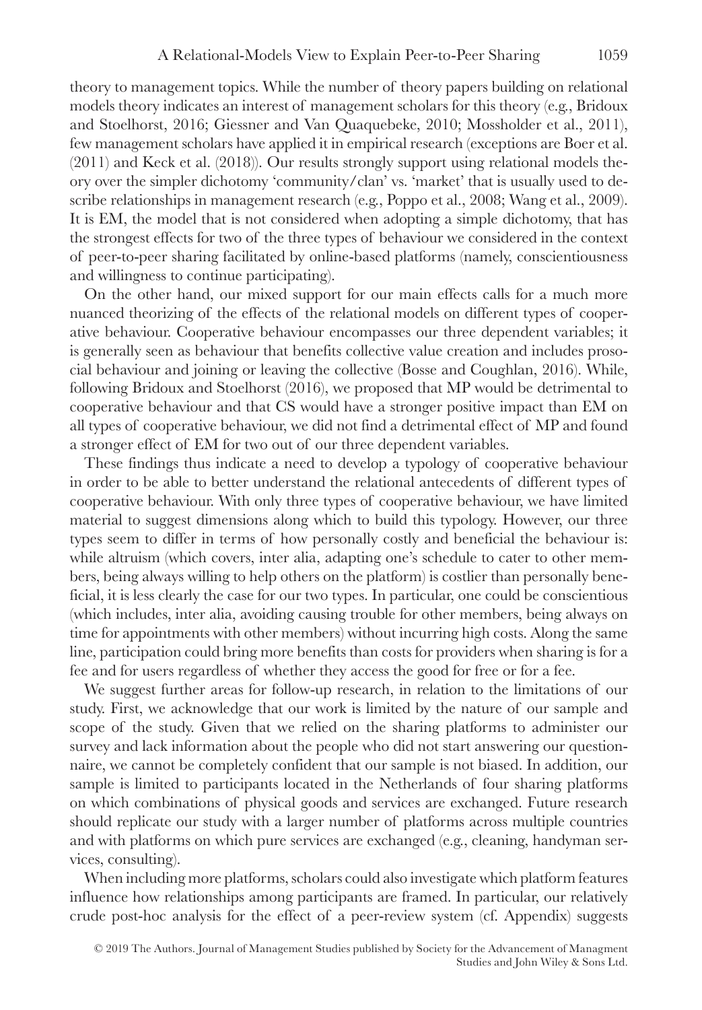theory to management topics. While the number of theory papers building on relational models theory indicates an interest of management scholars for this theory (e.g., Bridoux and Stoelhorst, 2016; Giessner and Van Quaquebeke, 2010; Mossholder et al., 2011), few management scholars have applied it in empirical research (exceptions are Boer et al. (2011) and Keck et al. (2018)). Our results strongly support using relational models theory over the simpler dichotomy 'community/clan' vs. 'market' that is usually used to describe relationships in management research (e.g., Poppo et al., 2008; Wang et al., 2009). It is EM, the model that is not considered when adopting a simple dichotomy, that has the strongest effects for two of the three types of behaviour we considered in the context of peer-to-peer sharing facilitated by online-based platforms (namely, conscientiousness and willingness to continue participating).

On the other hand, our mixed support for our main effects calls for a much more nuanced theorizing of the effects of the relational models on different types of cooperative behaviour. Cooperative behaviour encompasses our three dependent variables; it is generally seen as behaviour that benefits collective value creation and includes prosocial behaviour and joining or leaving the collective (Bosse and Coughlan, 2016). While, following Bridoux and Stoelhorst (2016), we proposed that MP would be detrimental to cooperative behaviour and that CS would have a stronger positive impact than EM on all types of cooperative behaviour, we did not find a detrimental effect of MP and found a stronger effect of EM for two out of our three dependent variables.

These findings thus indicate a need to develop a typology of cooperative behaviour in order to be able to better understand the relational antecedents of different types of cooperative behaviour. With only three types of cooperative behaviour, we have limited material to suggest dimensions along which to build this typology. However, our three types seem to differ in terms of how personally costly and beneficial the behaviour is: while altruism (which covers, inter alia, adapting one's schedule to cater to other members, being always willing to help others on the platform) is costlier than personally beneficial, it is less clearly the case for our two types. In particular, one could be conscientious (which includes, inter alia, avoiding causing trouble for other members, being always on time for appointments with other members) without incurring high costs. Along the same line, participation could bring more benefits than costs for providers when sharing is for a fee and for users regardless of whether they access the good for free or for a fee.

We suggest further areas for follow-up research, in relation to the limitations of our study. First, we acknowledge that our work is limited by the nature of our sample and scope of the study. Given that we relied on the sharing platforms to administer our survey and lack information about the people who did not start answering our questionnaire, we cannot be completely confident that our sample is not biased. In addition, our sample is limited to participants located in the Netherlands of four sharing platforms on which combinations of physical goods and services are exchanged. Future research should replicate our study with a larger number of platforms across multiple countries and with platforms on which pure services are exchanged (e.g., cleaning, handyman services, consulting).

When including more platforms, scholars could also investigate which platform features influence how relationships among participants are framed. In particular, our relatively crude post-hoc analysis for the effect of a peer-review system (cf. Appendix) suggests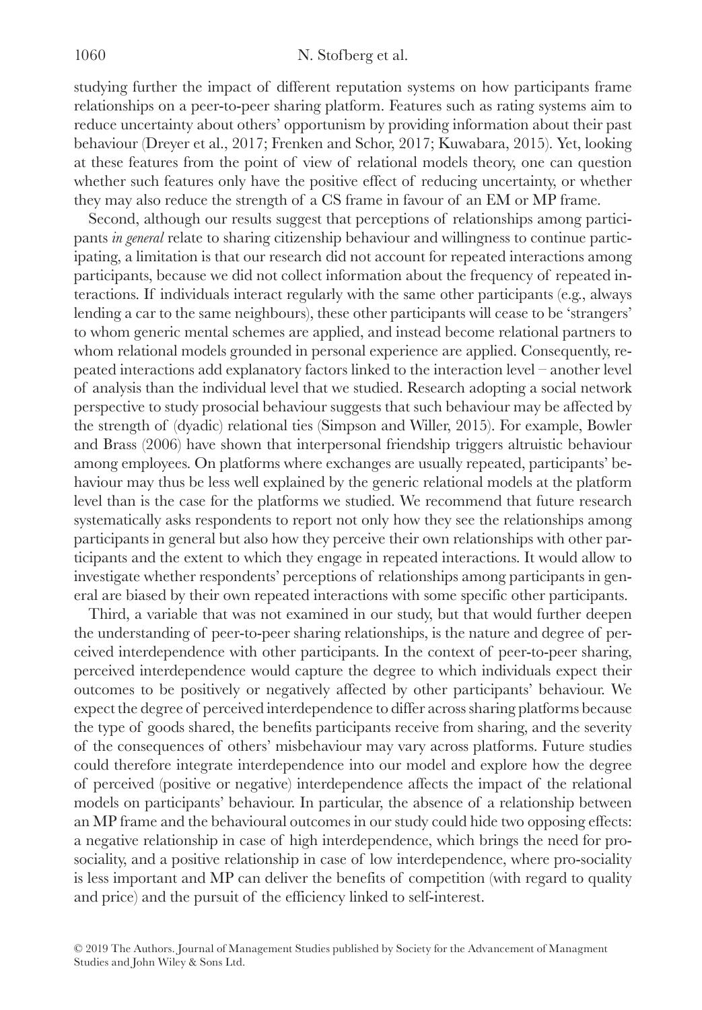studying further the impact of different reputation systems on how participants frame relationships on a peer-to-peer sharing platform. Features such as rating systems aim to reduce uncertainty about others' opportunism by providing information about their past behaviour (Dreyer et al., 2017; Frenken and Schor, 2017; Kuwabara, 2015). Yet, looking at these features from the point of view of relational models theory, one can question whether such features only have the positive effect of reducing uncertainty, or whether they may also reduce the strength of a CS frame in favour of an EM or MP frame.

Second, although our results suggest that perceptions of relationships among participants *in general* relate to sharing citizenship behaviour and willingness to continue participating, a limitation is that our research did not account for repeated interactions among participants, because we did not collect information about the frequency of repeated interactions. If individuals interact regularly with the same other participants (e.g., always lending a car to the same neighbours), these other participants will cease to be 'strangers' to whom generic mental schemes are applied, and instead become relational partners to whom relational models grounded in personal experience are applied. Consequently, repeated interactions add explanatory factors linked to the interaction level – another level of analysis than the individual level that we studied. Research adopting a social network perspective to study prosocial behaviour suggests that such behaviour may be affected by the strength of (dyadic) relational ties (Simpson and Willer, 2015). For example, Bowler and Brass (2006) have shown that interpersonal friendship triggers altruistic behaviour among employees. On platforms where exchanges are usually repeated, participants' behaviour may thus be less well explained by the generic relational models at the platform level than is the case for the platforms we studied. We recommend that future research systematically asks respondents to report not only how they see the relationships among participants in general but also how they perceive their own relationships with other participants and the extent to which they engage in repeated interactions. It would allow to investigate whether respondents' perceptions of relationships among participants in general are biased by their own repeated interactions with some specific other participants.

Third, a variable that was not examined in our study, but that would further deepen the understanding of peer-to-peer sharing relationships, is the nature and degree of perceived interdependence with other participants. In the context of peer-to-peer sharing, perceived interdependence would capture the degree to which individuals expect their outcomes to be positively or negatively affected by other participants' behaviour. We expect the degree of perceived interdependence to differ across sharing platforms because the type of goods shared, the benefits participants receive from sharing, and the severity of the consequences of others' misbehaviour may vary across platforms. Future studies could therefore integrate interdependence into our model and explore how the degree of perceived (positive or negative) interdependence affects the impact of the relational models on participants' behaviour. In particular, the absence of a relationship between an MP frame and the behavioural outcomes in our study could hide two opposing effects: a negative relationship in case of high interdependence, which brings the need for prosociality, and a positive relationship in case of low interdependence, where pro-sociality is less important and MP can deliver the benefits of competition (with regard to quality and price) and the pursuit of the efficiency linked to self-interest.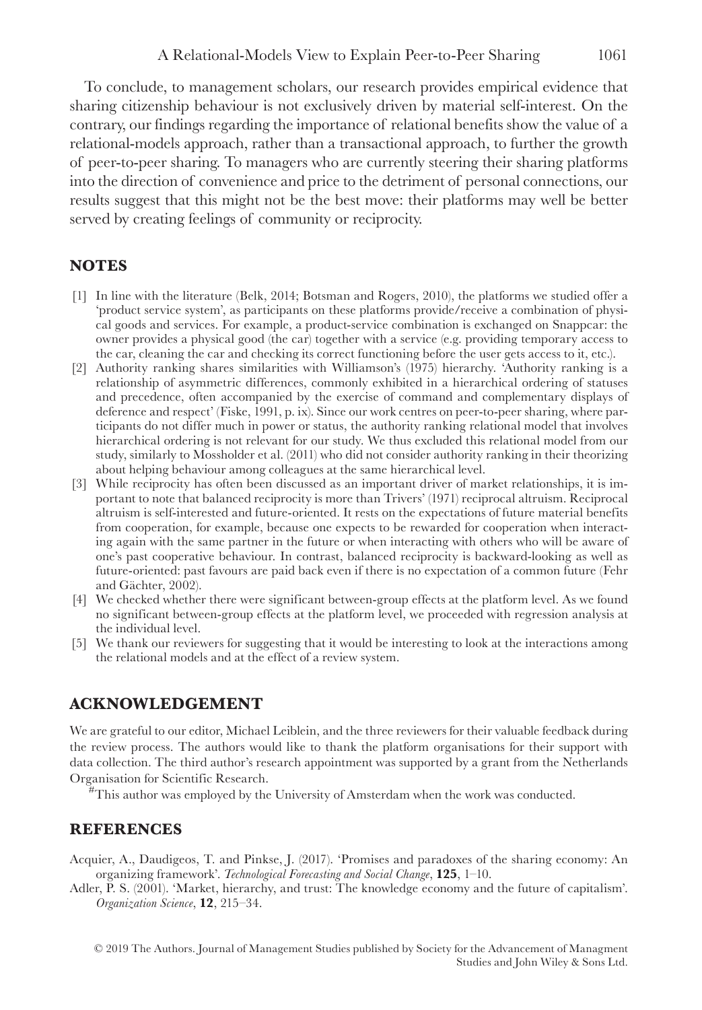To conclude, to management scholars, our research provides empirical evidence that sharing citizenship behaviour is not exclusively driven by material self-interest. On the contrary, our findings regarding the importance of relational benefits show the value of a relational-models approach, rather than a transactional approach, to further the growth of peer-to-peer sharing. To managers who are currently steering their sharing platforms into the direction of convenience and price to the detriment of personal connections, our results suggest that this might not be the best move: their platforms may well be better served by creating feelings of community or reciprocity.

# **NOTES**

- [1] In line with the literature (Belk, 2014; Botsman and Rogers, 2010), the platforms we studied offer a 'product service system', as participants on these platforms provide/receive a combination of physical goods and services. For example, a product-service combination is exchanged on Snappcar: the owner provides a physical good (the car) together with a service (e.g. providing temporary access to the car, cleaning the car and checking its correct functioning before the user gets access to it, etc.).
- [2] Authority ranking shares similarities with Williamson's (1975) hierarchy. 'Authority ranking is a relationship of asymmetric differences, commonly exhibited in a hierarchical ordering of statuses and precedence, often accompanied by the exercise of command and complementary displays of deference and respect' (Fiske, 1991, p. ix). Since our work centres on peer-to-peer sharing, where participants do not differ much in power or status, the authority ranking relational model that involves hierarchical ordering is not relevant for our study. We thus excluded this relational model from our study, similarly to Mossholder et al. (2011) who did not consider authority ranking in their theorizing about helping behaviour among colleagues at the same hierarchical level.
- [3] While reciprocity has often been discussed as an important driver of market relationships, it is important to note that balanced reciprocity is more than Trivers' (1971) reciprocal altruism. Reciprocal altruism is self-interested and future-oriented. It rests on the expectations of future material benefits from cooperation, for example, because one expects to be rewarded for cooperation when interacting again with the same partner in the future or when interacting with others who will be aware of one's past cooperative behaviour. In contrast, balanced reciprocity is backward-looking as well as future-oriented: past favours are paid back even if there is no expectation of a common future (Fehr and Gächter, 2002).
- [4] We checked whether there were significant between-group effects at the platform level. As we found no significant between-group effects at the platform level, we proceeded with regression analysis at the individual level.
- [5] We thank our reviewers for suggesting that it would be interesting to look at the interactions among the relational models and at the effect of a review system.

## **ACKNOWLEDGEMENT**

We are grateful to our editor, Michael Leiblein, and the three reviewers for their valuable feedback during the review process. The authors would like to thank the platform organisations for their support with data collection. The third author's research appointment was supported by a grant from the Netherlands Organisation for Scientific Research.

#This author was employed by the University of Amsterdam when the work was conducted.

## **REFERENCES**

Acquier, A., Daudigeos, T. and Pinkse, J. (2017). 'Promises and paradoxes of the sharing economy: An organizing framework'. *Technological Forecasting and Social Change*, **125**, 1–10.

Adler, P. S. (2001). 'Market, hierarchy, and trust: The knowledge economy and the future of capitalism'. *Organization Science*, **12**, 215–34.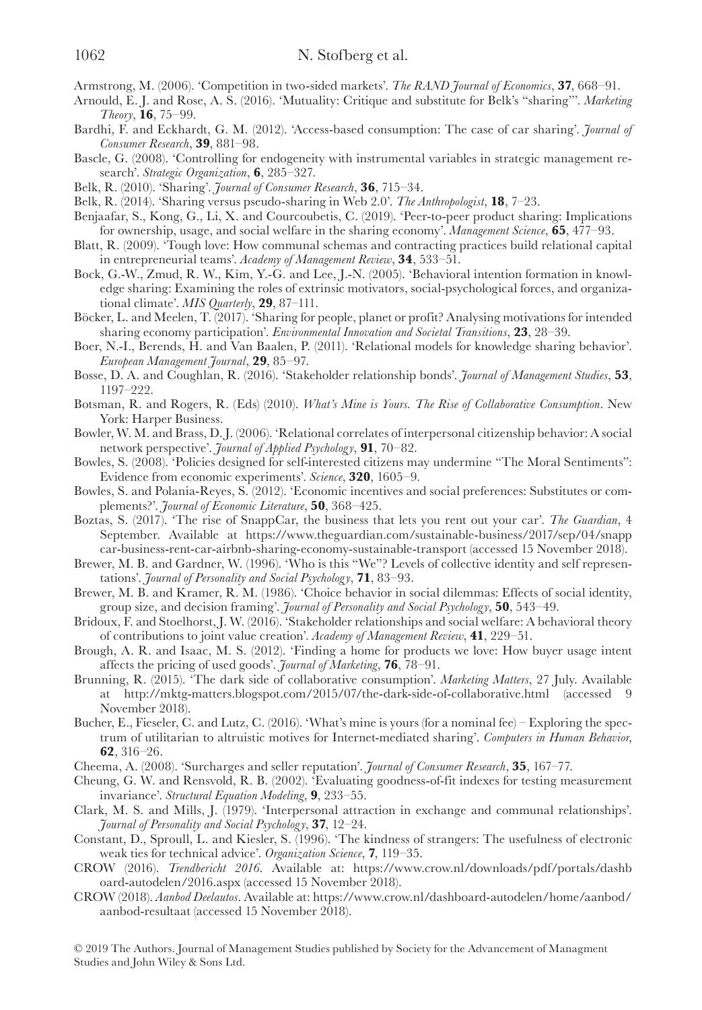- Armstrong, M. (2006). 'Competition in two-sided markets'. *The RAND Journal of Economics*, **37**, 668–91.
- Arnould, E. J. and Rose, A. S. (2016). 'Mutuality: Critique and substitute for Belk's "sharing"'. *Marketing Theory*, **16**, 75–99.
- Bardhi, F. and Eckhardt, G. M. (2012). 'Access-based consumption: The case of car sharing'. *Journal of Consumer Research*, **39**, 881–98.
- Bascle, G. (2008). 'Controlling for endogeneity with instrumental variables in strategic management research'. *Strategic Organization*, **6**, 285–327.
- Belk, R. (2010). 'Sharing'. *Journal of Consumer Research*, **36**, 715–34.
- Belk, R. (2014). 'Sharing versus pseudo-sharing in Web 2.0'. *The Anthropologist*, **18**, 7–23.
- Benjaafar, S., Kong, G., Li, X. and Courcoubetis, C. (2019). 'Peer-to-peer product sharing: Implications for ownership, usage, and social welfare in the sharing economy'. *Management Science*, **65**, 477–93.
- Blatt, R. (2009). 'Tough love: How communal schemas and contracting practices build relational capital in entrepreneurial teams'. *Academy of Management Review*, **34**, 533–51.
- Bock, G.-W., Zmud, R. W., Kim, Y.-G. and Lee, J.-N. (2005). 'Behavioral intention formation in knowledge sharing: Examining the roles of extrinsic motivators, social-psychological forces, and organizational climate'. *MIS Quarterly*, **29**, 87–111.
- Böcker, L. and Meelen, T. (2017). 'Sharing for people, planet or profit? Analysing motivations for intended sharing economy participation'. *Environmental Innovation and Societal Transitions*, **23**, 28–39.
- Boer, N.-I., Berends, H. and Van Baalen, P. (2011). 'Relational models for knowledge sharing behavior'. *European Management Journal*, **29**, 85–97.
- Bosse, D. A. and Coughlan, R. (2016). 'Stakeholder relationship bonds'. *Journal of Management Studies*, **53**, 1197–222.
- Botsman, R. and Rogers, R. (Eds) (2010). *What's Mine is Yours. The Rise of Collaborative Consumption*. New York: Harper Business.
- Bowler, W. M. and Brass, D. J. (2006). 'Relational correlates of interpersonal citizenship behavior: A social network perspective'. *Journal of Applied Psychology*, **91**, 70–82.
- Bowles, S. (2008). 'Policies designed for self-interested citizens may undermine "The Moral Sentiments": Evidence from economic experiments'. *Science*, **320**, 1605–9.
- Bowles, S. and Polania-Reyes, S. (2012). 'Economic incentives and social preferences: Substitutes or complements?'. *Journal of Economic Literature*, **50**, 368–425.
- Boztas, S. (2017). 'The rise of SnappCar, the business that lets you rent out your car'. *The Guardian*, 4 September. Available at [https://www.theguardian.com/sustainable-business/2017/sep/04/snapp](https://www.theguardian.com/sustainable-business/2017/sep/04/snappcar-business-rent-car-airbnb-sharing-economy-sustainable-transport) [car-business-rent-car-airbnb-sharing-economy-sustainable-transport](https://www.theguardian.com/sustainable-business/2017/sep/04/snappcar-business-rent-car-airbnb-sharing-economy-sustainable-transport) (accessed 15 November 2018).
- Brewer, M. B. and Gardner, W. (1996). 'Who is this "We"? Levels of collective identity and self representations'. *Journal of Personality and Social Psychology*, **71**, 83–93.
- Brewer, M. B. and Kramer, R. M. (1986). 'Choice behavior in social dilemmas: Effects of social identity, group size, and decision framing'. *Journal of Personality and Social Psychology*, **50**, 543–49.
- Bridoux, F. and Stoelhorst, J. W. (2016). 'Stakeholder relationships and social welfare: A behavioral theory of contributions to joint value creation'. *Academy of Management Review*, **41**, 229–51.
- Brough, A. R. and Isaac, M. S. (2012). 'Finding a home for products we love: How buyer usage intent affects the pricing of used goods'. *Journal of Marketing*, **76**, 78–91.
- Brunning, R. (2015). 'The dark side of collaborative consumption'. *Marketing Matters*, 27 July. Available at <http://mktg-matters.blogspot.com/2015/07/the-dark-side-of-collaborative.html> (accessed 9 November 2018).
- Bucher, E., Fieseler, C. and Lutz, C. (2016). 'What's mine is yours (for a nominal fee) Exploring the spectrum of utilitarian to altruistic motives for Internet-mediated sharing'. *Computers in Human Behavior*, **62**, 316–26.
- Cheema, A. (2008). 'Surcharges and seller reputation'. *Journal of Consumer Research*, **35**, 167–77.
- Cheung, G. W. and Rensvold, R. B. (2002). 'Evaluating goodness-of-fit indexes for testing measurement invariance'. *Structural Equation Modeling*, **9**, 233–55.
- Clark, M. S. and Mills, J. (1979). 'Interpersonal attraction in exchange and communal relationships'. *Journal of Personality and Social Psychology*, **37**, 12–24.
- Constant, D., Sproull, L. and Kiesler, S. (1996). 'The kindness of strangers: The usefulness of electronic weak ties for technical advice'. *Organization Science*, **7**, 119–35.
- CROW (2016). *Trendbericht 2016*. Available at: [https://www.crow.nl/downloads/pdf/portals/dashb](https://www.crow.nl/downloads/pdf/portals/dashboard-autodelen/2016.aspx) [oard-autodelen/2016.aspx](https://www.crow.nl/downloads/pdf/portals/dashboard-autodelen/2016.aspx) (accessed 15 November 2018).
- CROW (2018). *Aanbod Deelautos*. Available at: [https://www.crow.nl/dashboard-autodelen/home/aanbod/](https://www.crow.nl/dashboard-autodelen/home/aanbod/aanbod-resultaat) [aanbod-resultaat](https://www.crow.nl/dashboard-autodelen/home/aanbod/aanbod-resultaat) (accessed 15 November 2018).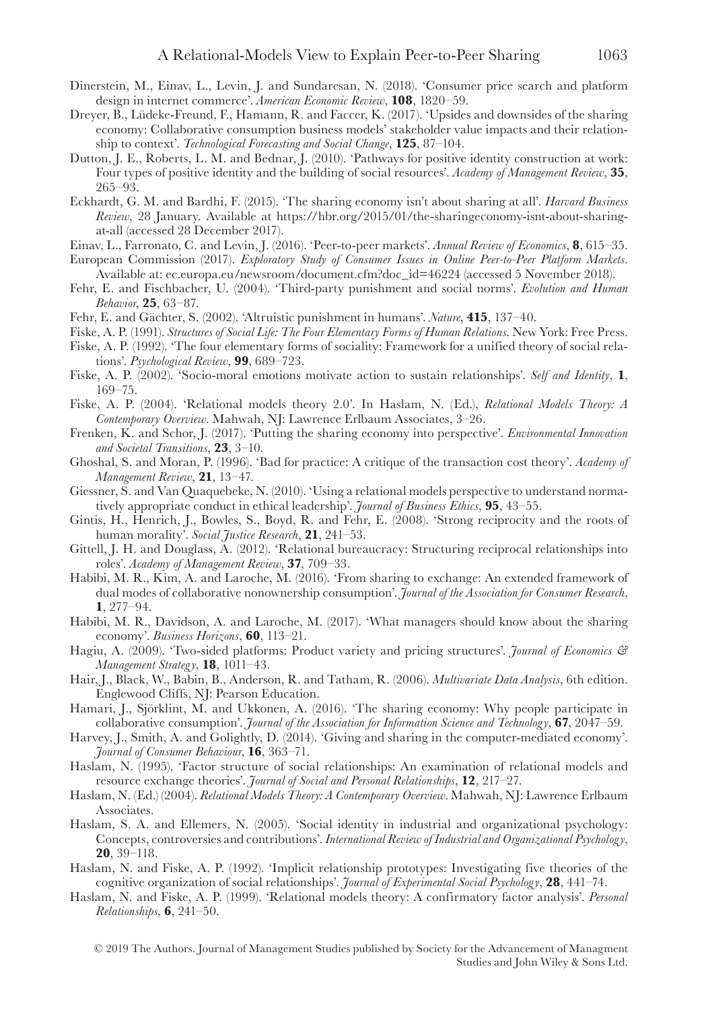- Dinerstein, M., Einav, L., Levin, J. and Sundaresan, N. (2018). 'Consumer price search and platform design in internet commerce'. *American Economic Review*, **108**, 1820–59.
- Dreyer, B., Lüdeke-Freund, F., Hamann, R. and Faccer, K. (2017). 'Upsides and downsides of the sharing economy: Collaborative consumption business models' stakeholder value impacts and their relationship to context'. *Technological Forecasting and Social Change*, **125**, 87–104.
- Dutton, J. E., Roberts, L. M. and Bednar, J. (2010). 'Pathways for positive identity construction at work: Four types of positive identity and the building of social resources'. *Academy of Management Review*, **35**, 265–93.
- Eckhardt, G. M. and Bardhi, F. (2015). 'The sharing economy isn't about sharing at all'. *Harvard Business Review*, 28 January. Available at [https://hbr.org/2015/01/the-sharingeconomy-isnt-about-sharing](https://hbr.org/2015/01/the-sharingeconomy-isnt-about-sharing-at-all)[at-all](https://hbr.org/2015/01/the-sharingeconomy-isnt-about-sharing-at-all) (accessed 28 December 2017).
- Einav, L., Farronato, C. and Levin, J. (2016). 'Peer-to-peer markets'. *Annual Review of Economics*, **8**, 615–35.
- European Commission (2017). *Exploratory Study of Consumer Issues in Online Peer-to-Peer Platform Markets*. Available at: [ec.europa.eu/newsroom/document.cfm?doc\\_id=46224](http://ec.europa.eu/newsroom/document.cfm?doc_id=46224) (accessed 5 November 2018).
- Fehr, E. and Fischbacher, U. (2004). 'Third-party punishment and social norms'. *Evolution and Human Behavior*, **25**, 63–87.
- Fehr, E. and Gächter, S. (2002). 'Altruistic punishment in humans'. *Nature*, **415**, 137–40.
- Fiske, A. P. (1991). *Structures of Social Life: The Four Elementary Forms of Human Relations*. New York: Free Press.
- Fiske, A. P. (1992). 'The four elementary forms of sociality: Framework for a unified theory of social relations'. *Psychological Review*, **99**, 689–723.
- Fiske, A. P. (2002). 'Socio-moral emotions motivate action to sustain relationships'. *Self and Identity*, **1**, 169–75.
- Fiske, A. P. (2004). 'Relational models theory 2.0'. In Haslam, N. (Ed.), *Relational Models Theory: A Contemporary Overview*. Mahwah, NJ: Lawrence Erlbaum Associates, 3–26.
- Frenken, K. and Schor, J. (2017). 'Putting the sharing economy into perspective'. *Environmental Innovation and Societal Transitions*, **23**, 3–10.
- Ghoshal, S. and Moran, P. (1996). 'Bad for practice: A critique of the transaction cost theory'. *Academy of Management Review*, **21**, 13–47.
- Giessner, S. and Van Quaquebeke, N. (2010). 'Using a relational models perspective to understand normatively appropriate conduct in ethical leadership'. *Journal of Business Ethics*, **95**, 43–55.
- Gintis, H., Henrich, J., Bowles, S., Boyd, R. and Fehr, E. (2008). 'Strong reciprocity and the roots of human morality'. *Social Justice Research*, **21**, 241–53.
- Gittell, J. H. and Douglass, A. (2012). 'Relational bureaucracy: Structuring reciprocal relationships into roles'. *Academy of Management Review*, **37**, 709–33.
- Habibi, M. R., Kim, A. and Laroche, M. (2016). 'From sharing to exchange: An extended framework of dual modes of collaborative nonownership consumption'. *Journal of the Association for Consumer Research*, **1**, 277–94.
- Habibi, M. R., Davidson, A. and Laroche, M. (2017). 'What managers should know about the sharing economy'. *Business Horizons*, **60**, 113–21.
- Hagiu, A. (2009). 'Two-sided platforms: Product variety and pricing structures'. *Journal of Economics & Management Strategy*, **18**, 1011–43.
- Hair, J., Black, W., Babin, B., Anderson, R. and Tatham, R. (2006). *Multivariate Data Analysis*, 6th edition. Englewood Cliffs, NJ: Pearson Education.
- Hamari, J., Sjörklint, M. and Ukkonen, A. (2016). 'The sharing economy: Why people participate in collaborative consumption'. *Journal of the Association for Information Science and Technology*, **67**, 2047–59.
- Harvey, J., Smith, A. and Golightly, D. (2014). 'Giving and sharing in the computer-mediated economy'. *Journal of Consumer Behaviour*, **16**, 363–71.
- Haslam, N. (1995). 'Factor structure of social relationships: An examination of relational models and resource exchange theories'. *Journal of Social and Personal Relationships*, **12**, 217–27.
- Haslam, N. (Ed.) (2004). *Relational Models Theory: A Contemporary Overview*. Mahwah, NJ: Lawrence Erlbaum Associates.
- Haslam, S. A. and Ellemers, N. (2005). 'Social identity in industrial and organizational psychology: Concepts, controversies and contributions'. *International Review of Industrial and Organizational Psychology*, **20**, 39–118.
- Haslam, N. and Fiske, A. P. (1992). 'Implicit relationship prototypes: Investigating five theories of the cognitive organization of social relationships'. *Journal of Experimental Social Psychology*, **28**, 441–74.
- Haslam, N. and Fiske, A. P. (1999). 'Relational models theory: A confirmatory factor analysis'. *Personal Relationships*, **6**, 241–50.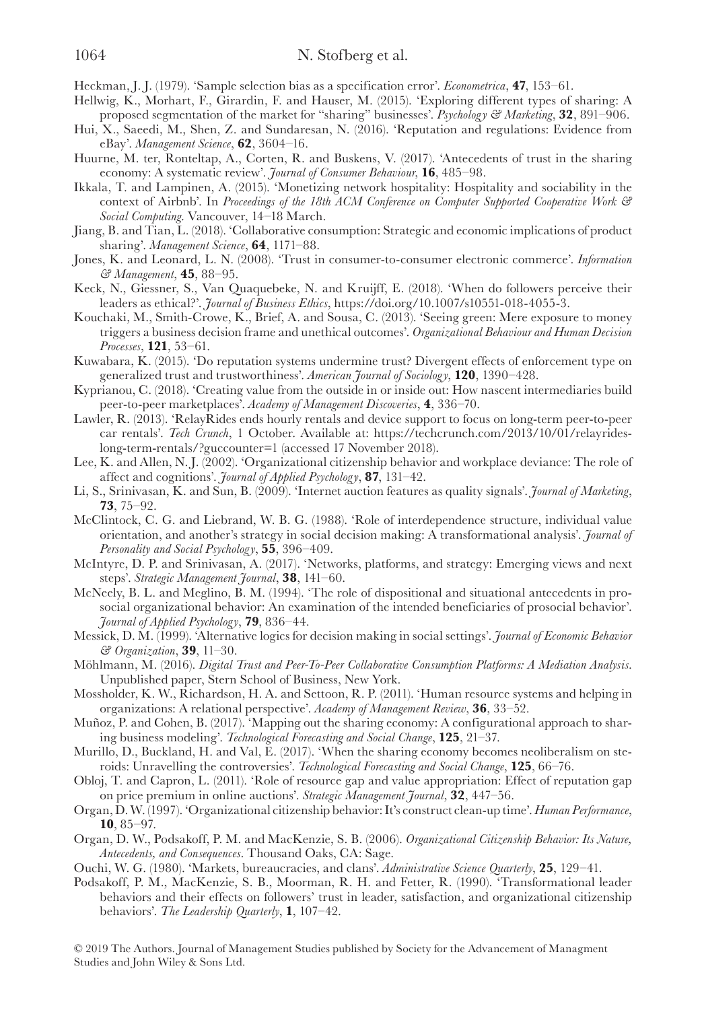Heckman, J. J. (1979). 'Sample selection bias as a specification error'. *Econometrica*, **47**, 153–61.

- Hellwig, K., Morhart, F., Girardin, F. and Hauser, M. (2015). 'Exploring different types of sharing: A proposed segmentation of the market for "sharing" businesses'. *Psychology & Marketing*, **32**, 891–906.
- Hui, X., Saeedi, M., Shen, Z. and Sundaresan, N. (2016). 'Reputation and regulations: Evidence from eBay'. *Management Science*, **62**, 3604–16.
- Huurne, M. ter, Ronteltap, A., Corten, R. and Buskens, V. (2017). 'Antecedents of trust in the sharing economy: A systematic review'. *Journal of Consumer Behaviour*, **16**, 485–98.
- Ikkala, T. and Lampinen, A. (2015). 'Monetizing network hospitality: Hospitality and sociability in the context of Airbnb'. In *Proceedings of the 18th ACM Conference on Computer Supported Cooperative Work & Social Computing*. Vancouver, 14–18 March.
- Jiang, B. and Tian, L. (2018). 'Collaborative consumption: Strategic and economic implications of product sharing'. *Management Science*, **64**, 1171–88.
- Jones, K. and Leonard, L. N. (2008). 'Trust in consumer-to-consumer electronic commerce'. *Information & Management*, **45**, 88–95.
- Keck, N., Giessner, S., Van Quaquebeke, N. and Kruijff, E. (2018). 'When do followers perceive their leaders as ethical?'. *Journal of Business Ethics*, [https://doi.org/10.1007/s10551-018-4055-3.](https://doi.org/10.1007/s10551-018-4055-3)
- Kouchaki, M., Smith-Crowe, K., Brief, A. and Sousa, C. (2013). 'Seeing green: Mere exposure to money triggers a business decision frame and unethical outcomes'. *Organizational Behaviour and Human Decision Processes*, **121**, 53–61.
- Kuwabara, K. (2015). 'Do reputation systems undermine trust? Divergent effects of enforcement type on generalized trust and trustworthiness'. *American Journal of Sociology*, **120**, 1390–428.
- Kyprianou, C. (2018). 'Creating value from the outside in or inside out: How nascent intermediaries build peer-to-peer marketplaces'. *Academy of Management Discoveries*, **4**, 336–70.
- Lawler, R. (2013). 'RelayRides ends hourly rentals and device support to focus on long-term peer-to-peer car rentals'. *Tech Crunch*, 1 October. Available at: [https://techcrunch.com/2013/10/01/relayrides](https://techcrunch.com/2013/10/01/relayrides-long-term-rentals/?guccounter=1)[long-term-rentals/?guccounter=1](https://techcrunch.com/2013/10/01/relayrides-long-term-rentals/?guccounter=1) (accessed 17 November 2018).
- Lee, K. and Allen, N. J. (2002). 'Organizational citizenship behavior and workplace deviance: The role of affect and cognitions'. *Journal of Applied Psychology*, **87**, 131–42.
- Li, S., Srinivasan, K. and Sun, B. (2009). 'Internet auction features as quality signals'. *Journal of Marketing*, **73**, 75–92.
- McClintock, C. G. and Liebrand, W. B. G. (1988). 'Role of interdependence structure, individual value orientation, and another's strategy in social decision making: A transformational analysis'. *Journal of Personality and Social Psychology*, **55**, 396–409.
- McIntyre, D. P. and Srinivasan, A. (2017). 'Networks, platforms, and strategy: Emerging views and next steps'. *Strategic Management Journal*, **38**, 141–60.
- McNeely, B. L. and Meglino, B. M. (1994). 'The role of dispositional and situational antecedents in prosocial organizational behavior: An examination of the intended beneficiaries of prosocial behavior'. *Journal of Applied Psychology*, **79**, 836–44.
- Messick, D. M. (1999). 'Alternative logics for decision making in social settings'. *Journal of Economic Behavior & Organization*, **39**, 11–30.
- Möhlmann, M. (2016). *Digital Trust and Peer-To-Peer Collaborative Consumption Platforms: A Mediation Analysis*. Unpublished paper, Stern School of Business, New York.
- Mossholder, K. W., Richardson, H. A. and Settoon, R. P. (2011). 'Human resource systems and helping in organizations: A relational perspective'. *Academy of Management Review*, **36**, 33–52.
- Muñoz, P. and Cohen, B. (2017). 'Mapping out the sharing economy: A configurational approach to sharing business modeling'. *Technological Forecasting and Social Change*, **125**, 21–37.
- Murillo, D., Buckland, H. and Val, E. (2017). 'When the sharing economy becomes neoliberalism on steroids: Unravelling the controversies'. *Technological Forecasting and Social Change*, **125**, 66–76.
- Obloj, T. and Capron, L. (2011). 'Role of resource gap and value appropriation: Effect of reputation gap on price premium in online auctions'. *Strategic Management Journal*, **32**, 447–56.
- Organ, D. W. (1997). 'Organizational citizenship behavior: It's construct clean-up time'. *Human Performance*, **10**, 85–97.
- Organ, D. W., Podsakoff, P. M. and MacKenzie, S. B. (2006). *Organizational Citizenship Behavior: Its Nature, Antecedents, and Consequences*. Thousand Oaks, CA: Sage.
- Ouchi, W. G. (1980). 'Markets, bureaucracies, and clans'. *Administrative Science Quarterly*, **25**, 129–41.
- Podsakoff, P. M., MacKenzie, S. B., Moorman, R. H. and Fetter, R. (1990). 'Transformational leader behaviors and their effects on followers' trust in leader, satisfaction, and organizational citizenship behaviors'. *The Leadership Quarterly*, **1**, 107–42.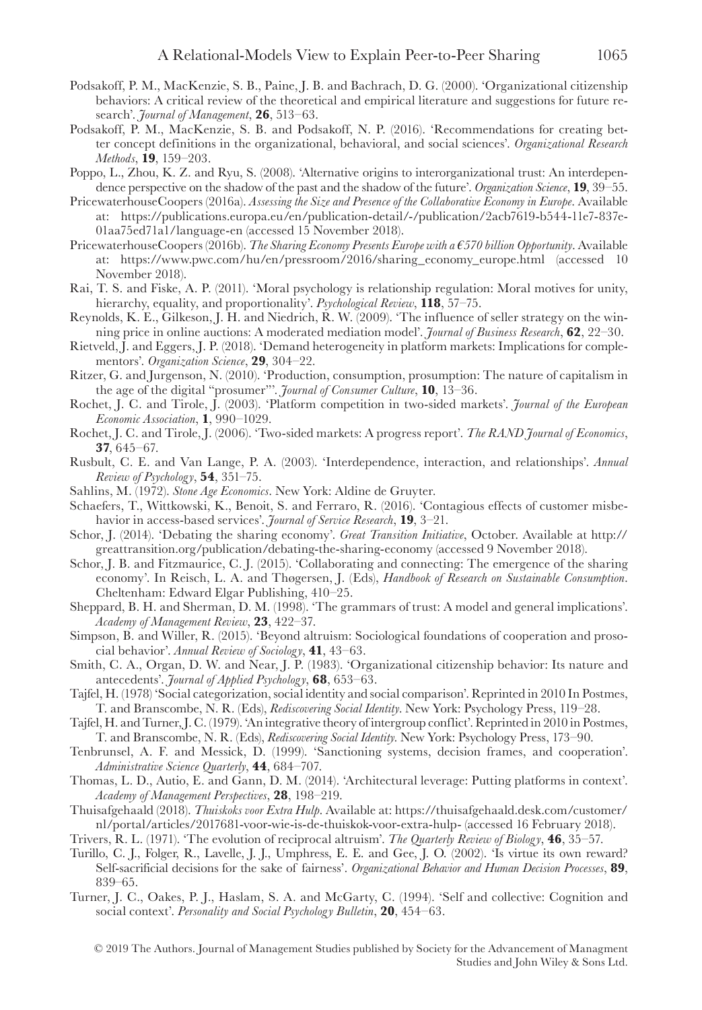- Podsakoff, P. M., MacKenzie, S. B., Paine, J. B. and Bachrach, D. G. (2000). 'Organizational citizenship behaviors: A critical review of the theoretical and empirical literature and suggestions for future research'. *Journal of Management*, **26**, 513–63.
- Podsakoff, P. M., MacKenzie, S. B. and Podsakoff, N. P. (2016). 'Recommendations for creating better concept definitions in the organizational, behavioral, and social sciences'. *Organizational Research Methods*, **19**, 159–203.
- Poppo, L., Zhou, K. Z. and Ryu, S. (2008). 'Alternative origins to interorganizational trust: An interdependence perspective on the shadow of the past and the shadow of the future'. *Organization Science*, **19**, 39–55.
- PricewaterhouseCoopers (2016a). *Assessing the Size and Presence of the Collaborative Economy in Europe*. Available at: [https://publications.europa.eu/en/publication-detail/-/publication/2acb7619-b544-11e7-837e-](https://publications.europa.eu/en/publication-detail/-/publication/2acb7619-b544-11e7-837e-01aa75ed71a1/language-en)[01aa75ed71a1/language-en](https://publications.europa.eu/en/publication-detail/-/publication/2acb7619-b544-11e7-837e-01aa75ed71a1/language-en) (accessed 15 November 2018).
- PricewaterhouseCoopers (2016b). *The Sharing Economy Presents Europe with a €570 billion Opportunity*. Available at: [https://www.pwc.com/hu/en/pressroom/2016/sharing\\_economy\\_europe.html](https://www.pwc.com/hu/en/pressroom/2016/sharing_economy_europe.html) (accessed 10 November 2018).
- Rai, T. S. and Fiske, A. P. (2011). 'Moral psychology is relationship regulation: Moral motives for unity, hierarchy, equality, and proportionality'. *Psychological Review*, **118**, 57–75.
- Reynolds, K. E., Gilkeson, J. H. and Niedrich, R. W. (2009). 'The influence of seller strategy on the winning price in online auctions: A moderated mediation model'. *Journal of Business Research*, **62**, 22–30.
- Rietveld, J. and Eggers, J. P. (2018). 'Demand heterogeneity in platform markets: Implications for complementors'. *Organization Science*, **29**, 304–22.
- Ritzer, G. and Jurgenson, N. (2010). 'Production, consumption, prosumption: The nature of capitalism in the age of the digital "prosumer"'. *Journal of Consumer Culture*, **10**, 13–36.
- Rochet, J. C. and Tirole, J. (2003). 'Platform competition in two-sided markets'. *Journal of the European Economic Association*, **1**, 990–1029.
- Rochet, J. C. and Tirole, J. (2006). 'Two-sided markets: A progress report'. *The RAND Journal of Economics*, **37**, 645–67.
- Rusbult, C. E. and Van Lange, P. A. (2003). 'Interdependence, interaction, and relationships'. *Annual Review of Psychology*, **54**, 351–75.
- Sahlins, M. (1972). *Stone Age Economics*. New York: Aldine de Gruyter.
- Schaefers, T., Wittkowski, K., Benoit, S. and Ferraro, R. (2016). 'Contagious effects of customer misbehavior in access-based services'. *Journal of Service Research*, **19**, 3–21.
- Schor, J. (2014). 'Debating the sharing economy'. *Great Transition Initiative*, October. Available at [http://](http://greattransition.org/publication/debating-the-sharing-economy) [greattransition.org/publication/debating-the-sharing-economy](http://greattransition.org/publication/debating-the-sharing-economy) (accessed 9 November 2018).
- Schor, J. B. and Fitzmaurice, C. J. (2015). 'Collaborating and connecting: The emergence of the sharing economy'. In Reisch, L. A. and Thøgersen, J. (Eds), *Handbook of Research on Sustainable Consumption*. Cheltenham: Edward Elgar Publishing, 410–25.
- Sheppard, B. H. and Sherman, D. M. (1998). 'The grammars of trust: A model and general implications'. *Academy of Management Review*, **23**, 422–37.
- Simpson, B. and Willer, R. (2015). 'Beyond altruism: Sociological foundations of cooperation and prosocial behavior'. *Annual Review of Sociology*, **41**, 43–63.
- Smith, C. A., Organ, D. W. and Near, J. P. (1983). 'Organizational citizenship behavior: Its nature and antecedents'. *Journal of Applied Psychology*, **68**, 653–63.
- Tajfel, H. (1978) 'Social categorization, social identity and social comparison'. Reprinted in 2010 In Postmes, T. and Branscombe, N. R. (Eds), *Rediscovering Social Identity*. New York: Psychology Press, 119–28.
- Tajfel, H. and Turner, J. C. (1979). 'An integrative theory of intergroup conflict'. Reprinted in 2010 in Postmes, T. and Branscombe, N. R. (Eds), *Rediscovering Social Identity*. New York: Psychology Press, 173–90.
- Tenbrunsel, A. F. and Messick, D. (1999). 'Sanctioning systems, decision frames, and cooperation'. *Administrative Science Quarterly*, **44**, 684–707.
- Thomas, L. D., Autio, E. and Gann, D. M. (2014). 'Architectural leverage: Putting platforms in context'. *Academy of Management Perspectives*, **28**, 198–219.
- Thuisafgehaald (2018). *Thuiskoks voor Extra Hulp*. Available at: [https://thuisafgehaald.desk.com/customer/](https://thuisafgehaald.desk.com/customer/nl/portal/articles/2017681-voor-wie-is-de-thuiskok-voor-extra-hulp-) [nl/portal/articles/2017681-voor-wie-is-de-thuiskok-voor-extra-hulp-](https://thuisafgehaald.desk.com/customer/nl/portal/articles/2017681-voor-wie-is-de-thuiskok-voor-extra-hulp-) (accessed 16 February 2018).
- Trivers, R. L. (1971). 'The evolution of reciprocal altruism'. *The Quarterly Review of Biology*, **46**, 35–57.
- Turillo, C. J., Folger, R., Lavelle, J. J., Umphress, E. E. and Gee, J. O. (2002). 'Is virtue its own reward? Self-sacrificial decisions for the sake of fairness'. *Organizational Behavior and Human Decision Processes*, **89**, 839–65.
- Turner, J. C., Oakes, P. J., Haslam, S. A. and McGarty, C. (1994). 'Self and collective: Cognition and social context'. *Personality and Social Psychology Bulletin*, **20**, 454–63.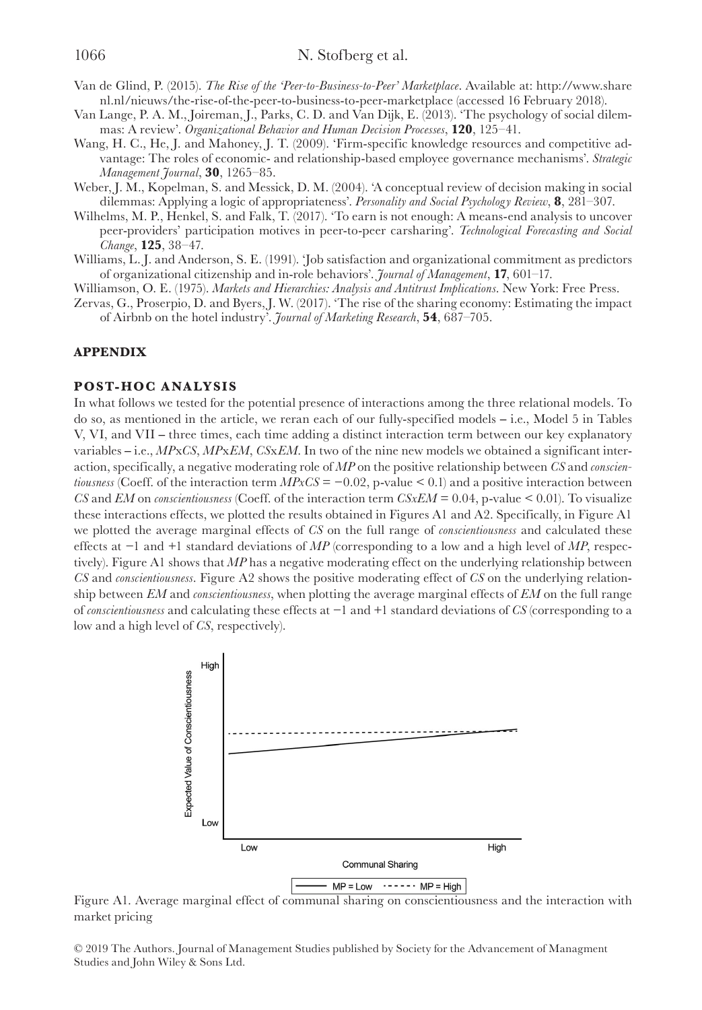- Van de Glind, P. (2015). *The Rise of the 'Peer-to-Business-to-Peer' Marketplace*. Available at: [http://www.share](http://www.sharenl.nl/nieuws/the-rise-of-the-peer-to-business-to-peer-marketplace) [nl.nl/nieuws/the-rise-of-the-peer-to-business-to-peer-marketplace](http://www.sharenl.nl/nieuws/the-rise-of-the-peer-to-business-to-peer-marketplace) (accessed 16 February 2018).
- Van Lange, P. A. M., Joireman, J., Parks, C. D. and Van Dijk, E. (2013). 'The psychology of social dilemmas: A review'. *Organizational Behavior and Human Decision Processes*, **120**, 125–41.
- Wang, H. C., He, J. and Mahoney, J. T. (2009). 'Firm-specific knowledge resources and competitive advantage: The roles of economic- and relationship-based employee governance mechanisms'. *Strategic Management Journal*, **30**, 1265–85.
- Weber, J. M., Kopelman, S. and Messick, D. M. (2004). 'A conceptual review of decision making in social dilemmas: Applying a logic of appropriateness'. *Personality and Social Psychology Review*, **8**, 281–307.
- Wilhelms, M. P., Henkel, S. and Falk, T. (2017). 'To earn is not enough: A means-end analysis to uncover peer-providers' participation motives in peer-to-peer carsharing'. *Technological Forecasting and Social Change*, **125**, 38–47.
- Williams, L. J. and Anderson, S. E. (1991). 'Job satisfaction and organizational commitment as predictors of organizational citizenship and in-role behaviors'. *Journal of Management*, **17**, 601–17.
- Williamson, O. E. (1975). *Markets and Hierarchies: Analysis and Antitrust Implications*. New York: Free Press.
- Zervas, G., Proserpio, D. and Byers, J. W. (2017). 'The rise of the sharing economy: Estimating the impact of Airbnb on the hotel industry'. *Journal of Marketing Research*, **54**, 687–705.

#### **APPENDIX**

#### **POST-HOC ANALYSIS**

In what follows we tested for the potential presence of interactions among the three relational models. To do so, as mentioned in the article, we reran each of our fully-specified models – i.e., Model 5 in Tables V, VI, and VII – three times, each time adding a distinct interaction term between our key explanatory variables ‒ i.e., *MP*x*CS*, *MP*x*EM*, *CS*x*EM*. In two of the nine new models we obtained a significant interaction, specifically, a negative moderating role of *MP* on the positive relationship between *CS* and *conscientiousness* (Coeff. of the interaction term  $MPxCS = -0.02$ , p-value < 0.1) and a positive interaction between *CS* and *EM* on *conscientiousness* (Coeff. of the interaction term *CSxEM* = 0.04, p-value < 0.01). To visualize these interactions effects, we plotted the results obtained in Figures A1 and A2. Specifically, in Figure A1 we plotted the average marginal effects of *CS* on the full range of *conscientiousness* and calculated these effects at −1 and +1 standard deviations of *MP* (corresponding to a low and a high level of *MP*, respectively). Figure A1 shows that *MP* has a negative moderating effect on the underlying relationship between *CS* and *conscientiousness*. Figure A2 shows the positive moderating effect of *CS* on the underlying relationship between *EM* and *conscientiousness*, when plotting the average marginal effects of *EM* on the full range of *conscientiousness* and calculating these effects at −1 and +1 standard deviations of *CS* (corresponding to a low and a high level of *CS*, respectively).



Figure A1. Average marginal effect of communal sharing on conscientiousness and the interaction with market pricing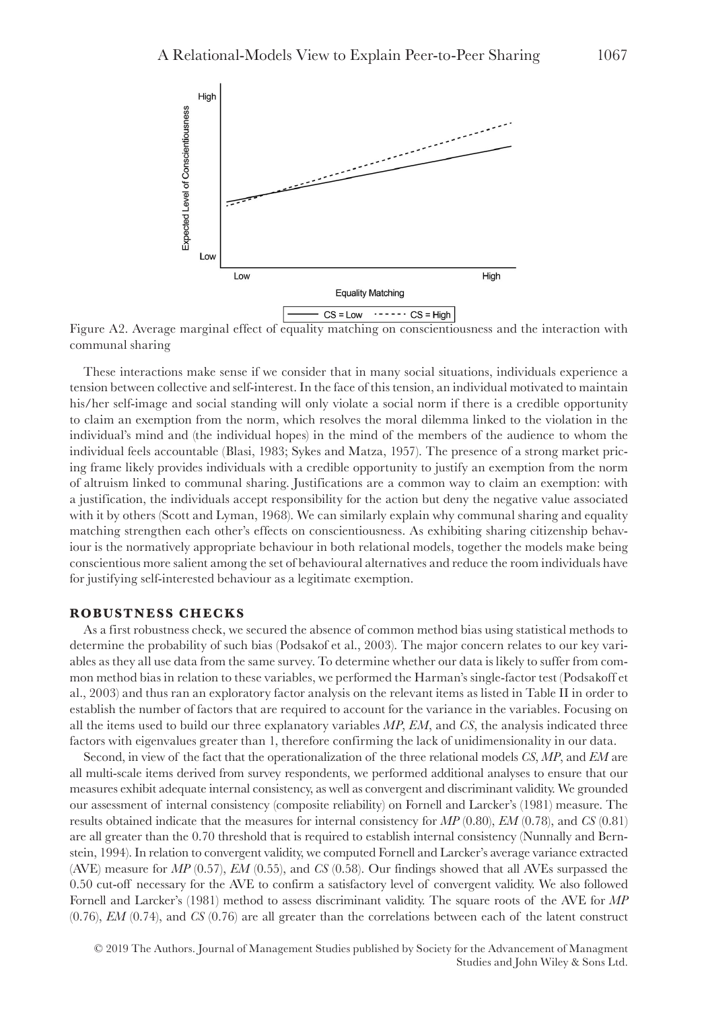

Figure A2. Average marginal effect of equality matching on conscientiousness and the interaction with communal sharing

These interactions make sense if we consider that in many social situations, individuals experience a tension between collective and self-interest. In the face of this tension, an individual motivated to maintain his/her self-image and social standing will only violate a social norm if there is a credible opportunity to claim an exemption from the norm, which resolves the moral dilemma linked to the violation in the individual's mind and (the individual hopes) in the mind of the members of the audience to whom the individual feels accountable (Blasi, 1983; Sykes and Matza, 1957). The presence of a strong market pricing frame likely provides individuals with a credible opportunity to justify an exemption from the norm of altruism linked to communal sharing. Justifications are a common way to claim an exemption: with a justification, the individuals accept responsibility for the action but deny the negative value associated with it by others (Scott and Lyman, 1968). We can similarly explain why communal sharing and equality matching strengthen each other's effects on conscientiousness. As exhibiting sharing citizenship behaviour is the normatively appropriate behaviour in both relational models, together the models make being conscientious more salient among the set of behavioural alternatives and reduce the room individuals have for justifying self-interested behaviour as a legitimate exemption.

#### **ROBUSTNESS CHECKS**

As a first robustness check, we secured the absence of common method bias using statistical methods to determine the probability of such bias (Podsakof et al., 2003). The major concern relates to our key variables as they all use data from the same survey. To determine whether our data is likely to suffer from common method bias in relation to these variables, we performed the Harman's single-factor test (Podsakoff et al., 2003) and thus ran an exploratory factor analysis on the relevant items as listed in Table II in order to establish the number of factors that are required to account for the variance in the variables. Focusing on all the items used to build our three explanatory variables *MP*, *EM*, and *CS*, the analysis indicated three factors with eigenvalues greater than 1, therefore confirming the lack of unidimensionality in our data.

Second, in view of the fact that the operationalization of the three relational models *CS*, *MP*, and *EM* are all multi-scale items derived from survey respondents, we performed additional analyses to ensure that our measures exhibit adequate internal consistency, as well as convergent and discriminant validity. We grounded our assessment of internal consistency (composite reliability) on Fornell and Larcker's (1981) measure. The results obtained indicate that the measures for internal consistency for *MP* (0.80), *EM* (0.78), and *CS* (0.81) are all greater than the 0.70 threshold that is required to establish internal consistency (Nunnally and Bernstein, 1994). In relation to convergent validity, we computed Fornell and Larcker's average variance extracted (AVE) measure for *MP* (0.57), *EM* (0.55), and *CS* (0.58). Our findings showed that all AVEs surpassed the 0.50 cut-off necessary for the AVE to confirm a satisfactory level of convergent validity. We also followed Fornell and Larcker's (1981) method to assess discriminant validity. The square roots of the AVE for *MP* (0.76), *EM* (0.74), and *CS* (0.76) are all greater than the correlations between each of the latent construct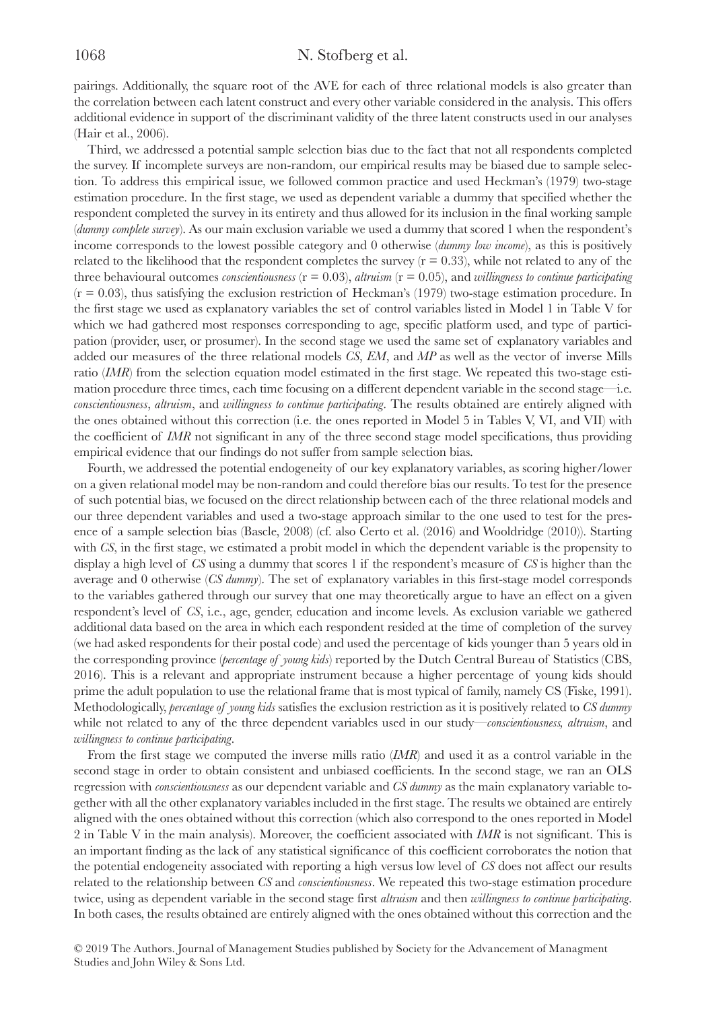### 1068 N. Stofberg et al.

pairings. Additionally, the square root of the AVE for each of three relational models is also greater than the correlation between each latent construct and every other variable considered in the analysis. This offers additional evidence in support of the discriminant validity of the three latent constructs used in our analyses (Hair et al., 2006).

Third, we addressed a potential sample selection bias due to the fact that not all respondents completed the survey. If incomplete surveys are non-random, our empirical results may be biased due to sample selection. To address this empirical issue, we followed common practice and used Heckman's (1979) two-stage estimation procedure. In the first stage, we used as dependent variable a dummy that specified whether the respondent completed the survey in its entirety and thus allowed for its inclusion in the final working sample (*dummy complete survey*). As our main exclusion variable we used a dummy that scored 1 when the respondent's income corresponds to the lowest possible category and 0 otherwise (*dummy low income*), as this is positively related to the likelihood that the respondent completes the survey  $(r = 0.33)$ , while not related to any of the three behavioural outcomes *conscientiousness*  $(r = 0.03)$ , *altruism*  $(r = 0.05)$ , and *willingness to continue participating*  $(r = 0.03)$ , thus satisfying the exclusion restriction of Heckman's (1979) two-stage estimation procedure. In the first stage we used as explanatory variables the set of control variables listed in Model 1 in Table V for which we had gathered most responses corresponding to age, specific platform used, and type of participation (provider, user, or prosumer). In the second stage we used the same set of explanatory variables and added our measures of the three relational models *CS*, *EM*, and *MP* as well as the vector of inverse Mills ratio *(IMR*) from the selection equation model estimated in the first stage. We repeated this two-stage estimation procedure three times, each time focusing on a different dependent variable in the second stage—i.e. *conscientiousness*, *altruism*, and *willingness to continue participating*. The results obtained are entirely aligned with the ones obtained without this correction (i.e. the ones reported in Model 5 in Tables V, VI, and VII) with the coefficient of *IMR* not significant in any of the three second stage model specifications, thus providing empirical evidence that our findings do not suffer from sample selection bias.

Fourth, we addressed the potential endogeneity of our key explanatory variables, as scoring higher/lower on a given relational model may be non-random and could therefore bias our results. To test for the presence of such potential bias, we focused on the direct relationship between each of the three relational models and our three dependent variables and used a two-stage approach similar to the one used to test for the presence of a sample selection bias (Bascle, 2008) (cf. also Certo et al. (2016) and Wooldridge (2010)). Starting with *CS*, in the first stage, we estimated a probit model in which the dependent variable is the propensity to display a high level of *CS* using a dummy that scores 1 if the respondent's measure of *CS* is higher than the average and 0 otherwise (*CS dummy*). The set of explanatory variables in this first-stage model corresponds to the variables gathered through our survey that one may theoretically argue to have an effect on a given respondent's level of *CS*, i.e., age, gender, education and income levels. As exclusion variable we gathered additional data based on the area in which each respondent resided at the time of completion of the survey (we had asked respondents for their postal code) and used the percentage of kids younger than 5 years old in the corresponding province (*percentage of young kids*) reported by the Dutch Central Bureau of Statistics (CBS, 2016). This is a relevant and appropriate instrument because a higher percentage of young kids should prime the adult population to use the relational frame that is most typical of family, namely CS (Fiske, 1991). Methodologically, *percentage of young kids* satisfies the exclusion restriction as it is positively related to *CS dummy* while not related to any of the three dependent variables used in our study—*conscientiousness, altruism*, and *willingness to continue participating*.

From the first stage we computed the inverse mills ratio (*IMR*) and used it as a control variable in the second stage in order to obtain consistent and unbiased coefficients. In the second stage, we ran an OLS regression with *conscientiousness* as our dependent variable and *CS dummy* as the main explanatory variable together with all the other explanatory variables included in the first stage. The results we obtained are entirely aligned with the ones obtained without this correction (which also correspond to the ones reported in Model 2 in Table V in the main analysis). Moreover, the coefficient associated with *IMR* is not significant. This is an important finding as the lack of any statistical significance of this coefficient corroborates the notion that the potential endogeneity associated with reporting a high versus low level of *CS* does not affect our results related to the relationship between *CS* and *conscientiousness*. We repeated this two-stage estimation procedure twice, using as dependent variable in the second stage first *altruism* and then *willingness to continue participating*. In both cases, the results obtained are entirely aligned with the ones obtained without this correction and the